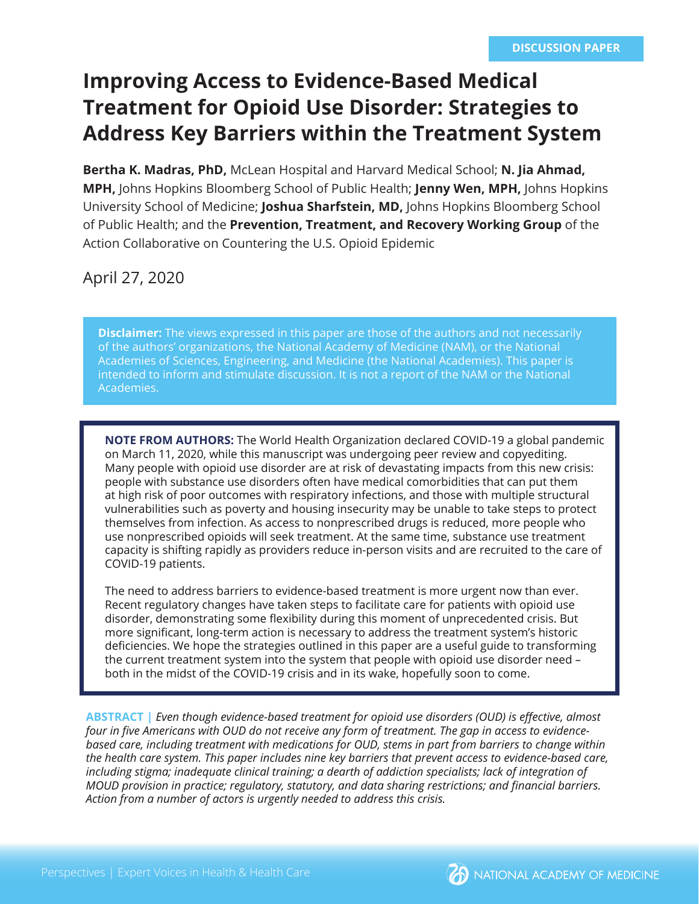# **Improving Access to Evidence-Based Medical Treatment for Opioid Use Disorder: Strategies to Address Key Barriers within the Treatment System**

**Bertha K. Madras, PhD,** McLean Hospital and Harvard Medical School; **N. Jia Ahmad, MPH,** Johns Hopkins Bloomberg School of Public Health; **Jenny Wen, MPH,** Johns Hopkins University School of Medicine; **Joshua Sharfstein, MD,** Johns Hopkins Bloomberg School of Public Health; and the **Prevention, Treatment, and Recovery Working Group** of the Action Collaborative on Countering the U.S. Opioid Epidemic

## April 27, 2020

**Disclaimer:** The views expressed in this paper are those of the authors and not necessarily of the authors' organizations, the National Academy of Medicine (NAM), or the National Academies of Sciences, Engineering, and Medicine (the National Academies). This paper is intended to inform and stimulate discussion. It is not a report of the NAM or the National Academies.

**NOTE FROM AUTHORS:** The World Health Organization declared COVID-19 a global pandemic on March 11, 2020, while this manuscript was undergoing peer review and copyediting. Many people with opioid use disorder are at risk of devastating impacts from this new crisis: people with substance use disorders often have medical comorbidities that can put them at high risk of poor outcomes with respiratory infections, and those with multiple structural vulnerabilities such as poverty and housing insecurity may be unable to take steps to protect themselves from infection. As access to nonprescribed drugs is reduced, more people who use nonprescribed opioids will seek treatment. At the same time, substance use treatment capacity is shifting rapidly as providers reduce in-person visits and are recruited to the care of COVID-19 patients.

The need to address barriers to evidence-based treatment is more urgent now than ever. Recent regulatory changes have taken steps to facilitate care for patients with opioid use disorder, demonstrating some flexibility during this moment of unprecedented crisis. But more significant, long-term action is necessary to address the treatment system's historic deficiencies. We hope the strategies outlined in this paper are a useful guide to transforming the current treatment system into the system that people with opioid use disorder need – both in the midst of the COVID-19 crisis and in its wake, hopefully soon to come.

**ABSTRACT |** *Even though evidence-based treatment for opioid use disorders (OUD) is eff ective, almost*  four in five Americans with OUD do not receive any form of treatment. The gap in access to evidence*based care, including treatment with medications for OUD, stems in part from barriers to change within the health care system. This paper includes nine key barriers that prevent access to evidence-based care, including stigma; inadequate clinical training; a dearth of addiction specialists; lack of integration of MOUD provision in practice; regulatory, statutory, and data sharing restrictions; and fi nancial barriers. Action from a number of actors is urgently needed to address this crisis.*

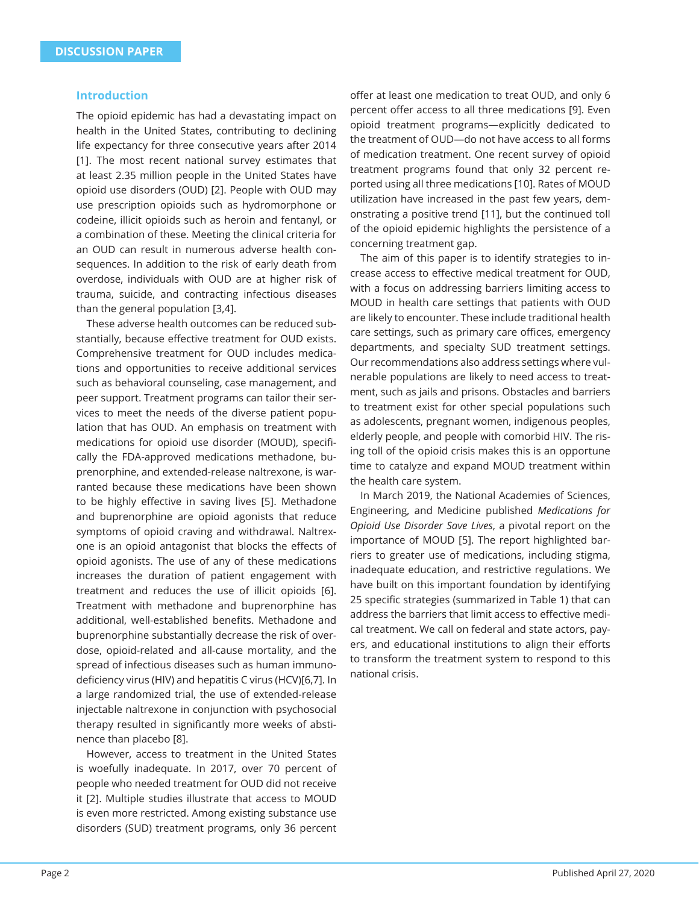#### **Introduction**

The opioid epidemic has had a devastating impact on health in the United States, contributing to declining life expectancy for three consecutive years after 2014 [1]. The most recent national survey estimates that at least 2.35 million people in the United States have opioid use disorders (OUD) [2]. People with OUD may use prescription opioids such as hydromorphone or codeine, illicit opioids such as heroin and fentanyl, or a combination of these. Meeting the clinical criteria for an OUD can result in numerous adverse health consequences. In addition to the risk of early death from overdose, individuals with OUD are at higher risk of trauma, suicide, and contracting infectious diseases than the general population [3,4].

These adverse health outcomes can be reduced substantially, because effective treatment for OUD exists. Comprehensive treatment for OUD includes medications and opportunities to receive additional services such as behavioral counseling, case management, and peer support. Treatment programs can tailor their services to meet the needs of the diverse patient population that has OUD. An emphasis on treatment with medications for opioid use disorder (MOUD), specifically the FDA-approved medications methadone, buprenorphine, and extended-release naltrexone, is warranted because these medications have been shown to be highly effective in saving lives [5]. Methadone and buprenorphine are opioid agonists that reduce symptoms of opioid craving and withdrawal. Naltrexone is an opioid antagonist that blocks the effects of opioid agonists. The use of any of these medications increases the duration of patient engagement with treatment and reduces the use of illicit opioids [6]. Treatment with methadone and buprenorphine has additional, well-established benefits. Methadone and buprenorphine substantially decrease the risk of overdose, opioid-related and all-cause mortality, and the spread of infectious diseases such as human immunodeficiency virus (HIV) and hepatitis C virus (HCV)[6,7]. In a large randomized trial, the use of extended-release injectable naltrexone in conjunction with psychosocial therapy resulted in significantly more weeks of abstinence than placebo [8].

However, access to treatment in the United States is woefully inadequate. In 2017, over 70 percent of people who needed treatment for OUD did not receive it [2]. Multiple studies illustrate that access to MOUD is even more restricted. Among existing substance use disorders (SUD) treatment programs, only 36 percent offer at least one medication to treat OUD, and only 6 percent offer access to all three medications [9]. Even opioid treatment programs—explicitly dedicated to the treatment of OUD—do not have access to all forms of medication treatment. One recent survey of opioid treatment programs found that only 32 percent reported using all three medications [10]. Rates of MOUD utilization have increased in the past few years, demonstrating a positive trend [11], but the continued toll of the opioid epidemic highlights the persistence of a concerning treatment gap.

The aim of this paper is to identify strategies to increase access to effective medical treatment for OUD. with a focus on addressing barriers limiting access to MOUD in health care settings that patients with OUD are likely to encounter. These include traditional health care settings, such as primary care offices, emergency departments, and specialty SUD treatment settings. Our recommendations also address settings where vulnerable populations are likely to need access to treatment, such as jails and prisons. Obstacles and barriers to treatment exist for other special populations such as adolescents, pregnant women, indigenous peoples, elderly people, and people with comorbid HIV. The rising toll of the opioid crisis makes this is an opportune time to catalyze and expand MOUD treatment within the health care system.

In March 2019, the National Academies of Sciences, Engineering, and Medicine published *Medications for Opioid Use Disorder Save Lives*, a pivotal report on the importance of MOUD [5]. The report highlighted barriers to greater use of medications, including stigma, inadequate education, and restrictive regulations. We have built on this important foundation by identifying 25 specific strategies (summarized in Table 1) that can address the barriers that limit access to effective medical treatment. We call on federal and state actors, payers, and educational institutions to align their efforts to transform the treatment system to respond to this national crisis.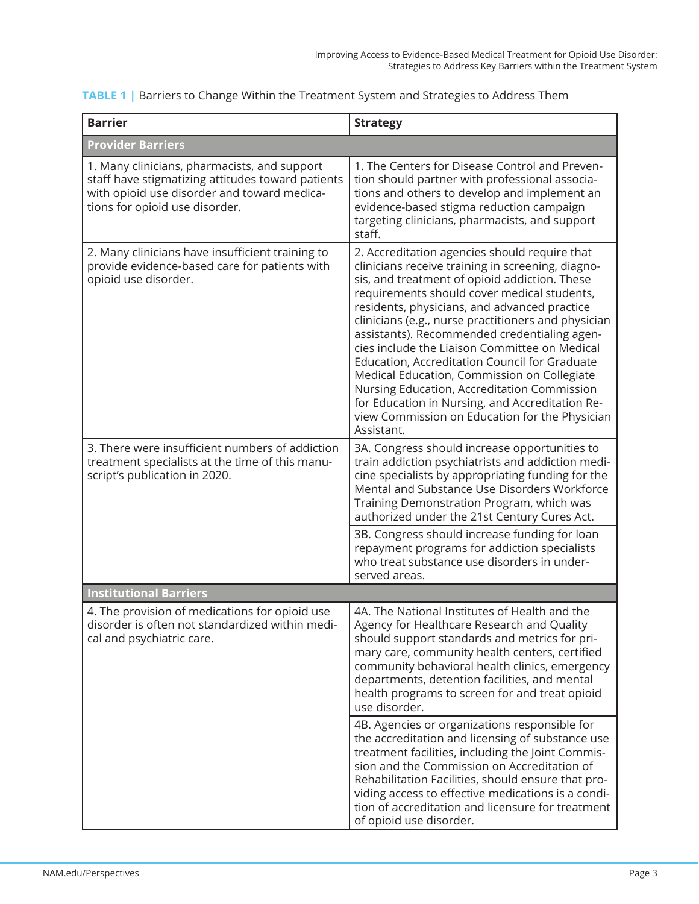| <b>Barrier</b>                                                                                                                                                                     | <b>Strategy</b>                                                                                                                                                                                                                                                                                                                                                                                                                                                                                                                                                                                                                                                              |  |  |
|------------------------------------------------------------------------------------------------------------------------------------------------------------------------------------|------------------------------------------------------------------------------------------------------------------------------------------------------------------------------------------------------------------------------------------------------------------------------------------------------------------------------------------------------------------------------------------------------------------------------------------------------------------------------------------------------------------------------------------------------------------------------------------------------------------------------------------------------------------------------|--|--|
| <b>Provider Barriers</b>                                                                                                                                                           |                                                                                                                                                                                                                                                                                                                                                                                                                                                                                                                                                                                                                                                                              |  |  |
| 1. Many clinicians, pharmacists, and support<br>staff have stigmatizing attitudes toward patients<br>with opioid use disorder and toward medica-<br>tions for opioid use disorder. | 1. The Centers for Disease Control and Preven-<br>tion should partner with professional associa-<br>tions and others to develop and implement an<br>evidence-based stigma reduction campaign<br>targeting clinicians, pharmacists, and support<br>staff.                                                                                                                                                                                                                                                                                                                                                                                                                     |  |  |
| 2. Many clinicians have insufficient training to<br>provide evidence-based care for patients with<br>opioid use disorder.                                                          | 2. Accreditation agencies should require that<br>clinicians receive training in screening, diagno-<br>sis, and treatment of opioid addiction. These<br>requirements should cover medical students,<br>residents, physicians, and advanced practice<br>clinicians (e.g., nurse practitioners and physician<br>assistants). Recommended credentialing agen-<br>cies include the Liaison Committee on Medical<br>Education, Accreditation Council for Graduate<br>Medical Education, Commission on Collegiate<br>Nursing Education, Accreditation Commission<br>for Education in Nursing, and Accreditation Re-<br>view Commission on Education for the Physician<br>Assistant. |  |  |
| 3. There were insufficient numbers of addiction<br>treatment specialists at the time of this manu-<br>script's publication in 2020.                                                | 3A. Congress should increase opportunities to<br>train addiction psychiatrists and addiction medi-<br>cine specialists by appropriating funding for the<br>Mental and Substance Use Disorders Workforce<br>Training Demonstration Program, which was<br>authorized under the 21st Century Cures Act.                                                                                                                                                                                                                                                                                                                                                                         |  |  |
|                                                                                                                                                                                    | 3B. Congress should increase funding for loan<br>repayment programs for addiction specialists<br>who treat substance use disorders in under-<br>served areas.                                                                                                                                                                                                                                                                                                                                                                                                                                                                                                                |  |  |
| <b>Institutional Barriers</b>                                                                                                                                                      |                                                                                                                                                                                                                                                                                                                                                                                                                                                                                                                                                                                                                                                                              |  |  |
| 4. The provision of medications for opioid use<br>disorder is often not standardized within medi-<br>cal and psychiatric care.                                                     | 4A. The National Institutes of Health and the<br>Agency for Healthcare Research and Quality<br>should support standards and metrics for pri-<br>mary care, community health centers, certified<br>community behavioral health clinics, emergency<br>departments, detention facilities, and mental<br>health programs to screen for and treat opioid<br>use disorder.                                                                                                                                                                                                                                                                                                         |  |  |
|                                                                                                                                                                                    | 4B. Agencies or organizations responsible for<br>the accreditation and licensing of substance use<br>treatment facilities, including the Joint Commis-<br>sion and the Commission on Accreditation of<br>Rehabilitation Facilities, should ensure that pro-<br>viding access to effective medications is a condi-<br>tion of accreditation and licensure for treatment<br>of opioid use disorder.                                                                                                                                                                                                                                                                            |  |  |

**TABLE 1 |** Barriers to Change Within the Treatment System and Strategies to Address Them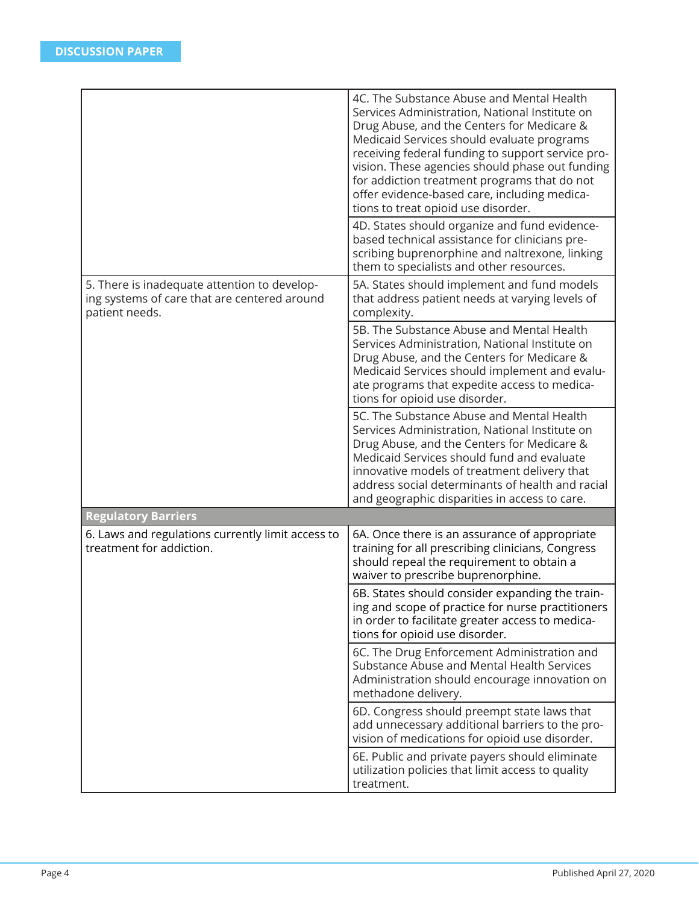|                                                                                                                | 4C. The Substance Abuse and Mental Health<br>Services Administration, National Institute on<br>Drug Abuse, and the Centers for Medicare &<br>Medicaid Services should evaluate programs<br>receiving federal funding to support service pro-<br>vision. These agencies should phase out funding<br>for addiction treatment programs that do not<br>offer evidence-based care, including medica-<br>tions to treat opioid use disorder. |
|----------------------------------------------------------------------------------------------------------------|----------------------------------------------------------------------------------------------------------------------------------------------------------------------------------------------------------------------------------------------------------------------------------------------------------------------------------------------------------------------------------------------------------------------------------------|
|                                                                                                                | 4D. States should organize and fund evidence-<br>based technical assistance for clinicians pre-<br>scribing buprenorphine and naltrexone, linking<br>them to specialists and other resources.                                                                                                                                                                                                                                          |
| 5. There is inadequate attention to develop-<br>ing systems of care that are centered around<br>patient needs. | 5A. States should implement and fund models<br>that address patient needs at varying levels of<br>complexity.                                                                                                                                                                                                                                                                                                                          |
|                                                                                                                | 5B. The Substance Abuse and Mental Health<br>Services Administration, National Institute on<br>Drug Abuse, and the Centers for Medicare &<br>Medicaid Services should implement and evalu-<br>ate programs that expedite access to medica-<br>tions for opioid use disorder.                                                                                                                                                           |
|                                                                                                                | 5C. The Substance Abuse and Mental Health<br>Services Administration, National Institute on<br>Drug Abuse, and the Centers for Medicare &<br>Medicaid Services should fund and evaluate<br>innovative models of treatment delivery that<br>address social determinants of health and racial<br>and geographic disparities in access to care.                                                                                           |
| <b>Regulatory Barriers</b>                                                                                     |                                                                                                                                                                                                                                                                                                                                                                                                                                        |
| 6. Laws and regulations currently limit access to<br>treatment for addiction.                                  | 6A. Once there is an assurance of appropriate<br>training for all prescribing clinicians, Congress<br>should repeal the requirement to obtain a<br>waiver to prescribe buprenorphine.                                                                                                                                                                                                                                                  |
|                                                                                                                | 6B. States should consider expanding the train-<br>ing and scope of practice for nurse practitioners<br>in order to facilitate greater access to medica-<br>tions for opioid use disorder.                                                                                                                                                                                                                                             |
|                                                                                                                | 6C. The Drug Enforcement Administration and<br>Substance Abuse and Mental Health Services<br>Administration should encourage innovation on<br>methadone delivery.                                                                                                                                                                                                                                                                      |
|                                                                                                                | 6D. Congress should preempt state laws that<br>add unnecessary additional barriers to the pro-<br>vision of medications for opioid use disorder.                                                                                                                                                                                                                                                                                       |
|                                                                                                                | 6E. Public and private payers should eliminate<br>utilization policies that limit access to quality<br>treatment.                                                                                                                                                                                                                                                                                                                      |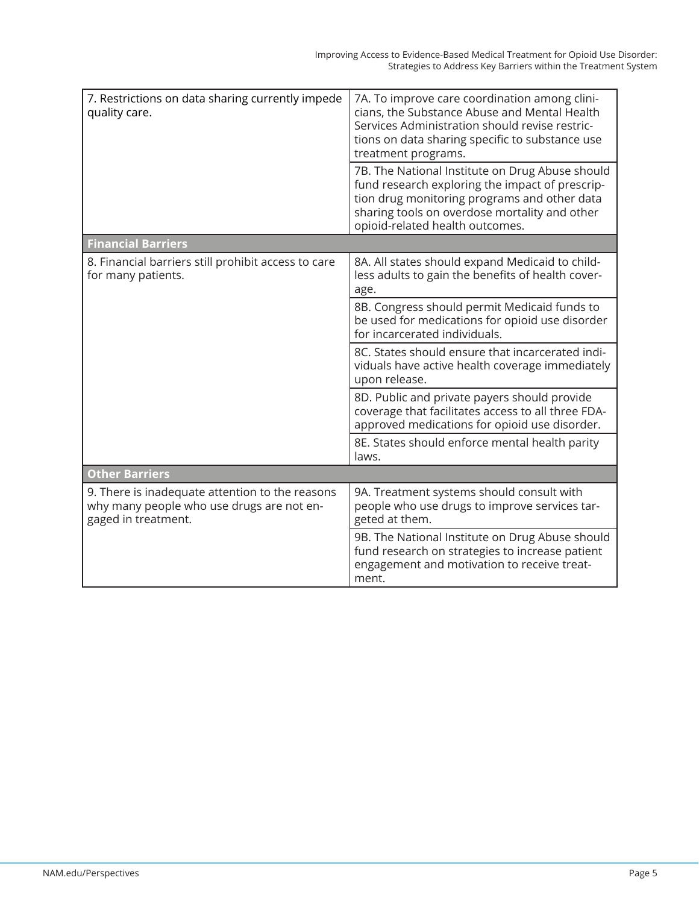| 7. Restrictions on data sharing currently impede<br>quality care.                                                   | 7A. To improve care coordination among clini-<br>cians, the Substance Abuse and Mental Health<br>Services Administration should revise restric-<br>tions on data sharing specific to substance use<br>treatment programs.<br>7B. The National Institute on Drug Abuse should<br>fund research exploring the impact of prescrip-<br>tion drug monitoring programs and other data |
|---------------------------------------------------------------------------------------------------------------------|---------------------------------------------------------------------------------------------------------------------------------------------------------------------------------------------------------------------------------------------------------------------------------------------------------------------------------------------------------------------------------|
|                                                                                                                     | sharing tools on overdose mortality and other<br>opioid-related health outcomes.                                                                                                                                                                                                                                                                                                |
| <b>Financial Barriers</b>                                                                                           |                                                                                                                                                                                                                                                                                                                                                                                 |
| 8. Financial barriers still prohibit access to care<br>for many patients.                                           | 8A. All states should expand Medicaid to child-<br>less adults to gain the benefits of health cover-<br>age.                                                                                                                                                                                                                                                                    |
|                                                                                                                     | 8B. Congress should permit Medicaid funds to<br>be used for medications for opioid use disorder<br>for incarcerated individuals.                                                                                                                                                                                                                                                |
|                                                                                                                     | 8C. States should ensure that incarcerated indi-<br>viduals have active health coverage immediately<br>upon release.                                                                                                                                                                                                                                                            |
|                                                                                                                     | 8D. Public and private payers should provide<br>coverage that facilitates access to all three FDA-<br>approved medications for opioid use disorder.                                                                                                                                                                                                                             |
|                                                                                                                     | 8E. States should enforce mental health parity<br>laws.                                                                                                                                                                                                                                                                                                                         |
| <b>Other Barriers</b>                                                                                               |                                                                                                                                                                                                                                                                                                                                                                                 |
| 9. There is inadequate attention to the reasons<br>why many people who use drugs are not en-<br>gaged in treatment. | 9A. Treatment systems should consult with<br>people who use drugs to improve services tar-<br>geted at them.                                                                                                                                                                                                                                                                    |
|                                                                                                                     | 9B. The National Institute on Drug Abuse should<br>fund research on strategies to increase patient<br>engagement and motivation to receive treat-<br>ment.                                                                                                                                                                                                                      |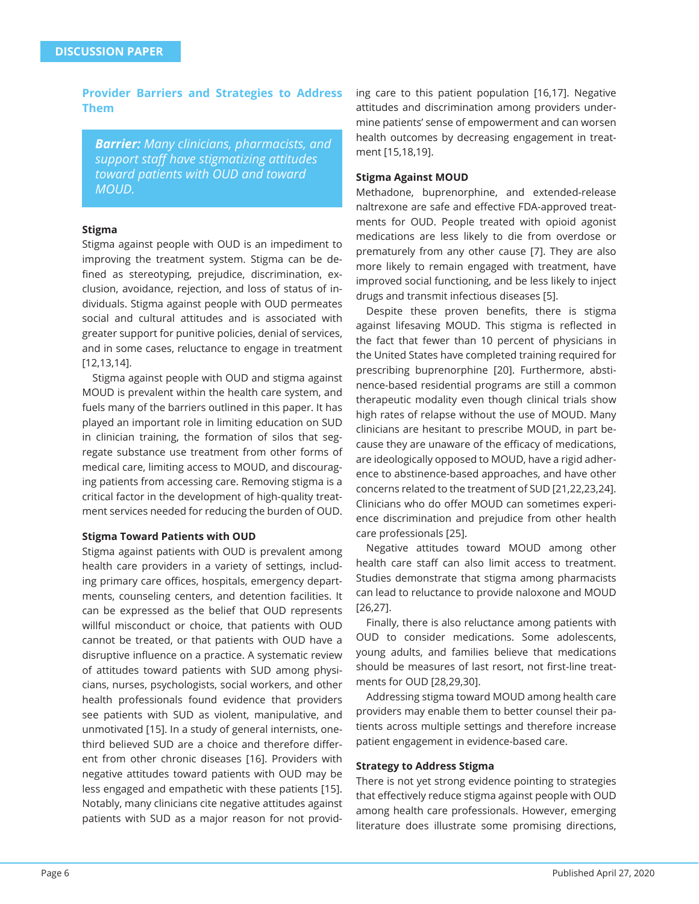**Provider Barriers and Strategies to Address Them**

*Barrier: Many clinicians, pharmacists, and support staff have stigmatizing attitudes toward patients with OUD and toward MOUD.*

#### **Stigma**

Stigma against people with OUD is an impediment to improving the treatment system. Stigma can be defined as stereotyping, prejudice, discrimination, exclusion, avoidance, rejection, and loss of status of individuals. Stigma against people with OUD permeates social and cultural attitudes and is associated with greater support for punitive policies, denial of services, and in some cases, reluctance to engage in treatment [12,13,14].

Stigma against people with OUD and stigma against MOUD is prevalent within the health care system, and fuels many of the barriers outlined in this paper. It has played an important role in limiting education on SUD in clinician training, the formation of silos that segregate substance use treatment from other forms of medical care, limiting access to MOUD, and discouraging patients from accessing care. Removing stigma is a critical factor in the development of high-quality treatment services needed for reducing the burden of OUD.

#### **Stigma Toward Patients with OUD**

Stigma against patients with OUD is prevalent among health care providers in a variety of settings, including primary care offices, hospitals, emergency departments, counseling centers, and detention facilities. It can be expressed as the belief that OUD represents willful misconduct or choice, that patients with OUD cannot be treated, or that patients with OUD have a disruptive influence on a practice. A systematic review of attitudes toward patients with SUD among physicians, nurses, psychologists, social workers, and other health professionals found evidence that providers see patients with SUD as violent, manipulative, and unmotivated [15]. In a study of general internists, onethird believed SUD are a choice and therefore different from other chronic diseases [16]. Providers with negative attitudes toward patients with OUD may be less engaged and empathetic with these patients [15]. Notably, many clinicians cite negative attitudes against patients with SUD as a major reason for not providing care to this patient population [16,17]. Negative attitudes and discrimination among providers undermine patients' sense of empowerment and can worsen health outcomes by decreasing engagement in treatment [15,18,19].

#### **Stigma Against MOUD**

Methadone, buprenorphine, and extended-release naltrexone are safe and effective FDA-approved treatments for OUD. People treated with opioid agonist medications are less likely to die from overdose or prematurely from any other cause [7]. They are also more likely to remain engaged with treatment, have improved social functioning, and be less likely to inject drugs and transmit infectious diseases [5].

Despite these proven benefits, there is stigma against lifesaving MOUD. This stigma is reflected in the fact that fewer than 10 percent of physicians in the United States have completed training required for prescribing buprenorphine [20]. Furthermore, abstinence-based residential programs are still a common therapeutic modality even though clinical trials show high rates of relapse without the use of MOUD. Many clinicians are hesitant to prescribe MOUD, in part because they are unaware of the efficacy of medications, are ideologically opposed to MOUD, have a rigid adherence to abstinence-based approaches, and have other concerns related to the treatment of SUD [21,22,23,24]. Clinicians who do offer MOUD can sometimes experience discrimination and prejudice from other health care professionals [25].

Negative attitudes toward MOUD among other health care staff can also limit access to treatment. Studies demonstrate that stigma among pharmacists can lead to reluctance to provide naloxone and MOUD [26,27].

Finally, there is also reluctance among patients with OUD to consider medications. Some adolescents, young adults, and families believe that medications should be measures of last resort, not first-line treatments for OUD [28,29,30].

Addressing stigma toward MOUD among health care providers may enable them to better counsel their patients across multiple settings and therefore increase patient engagement in evidence-based care.

#### **Strategy to Address Stigma**

There is not yet strong evidence pointing to strategies that effectively reduce stigma against people with OUD among health care professionals. However, emerging literature does illustrate some promising directions,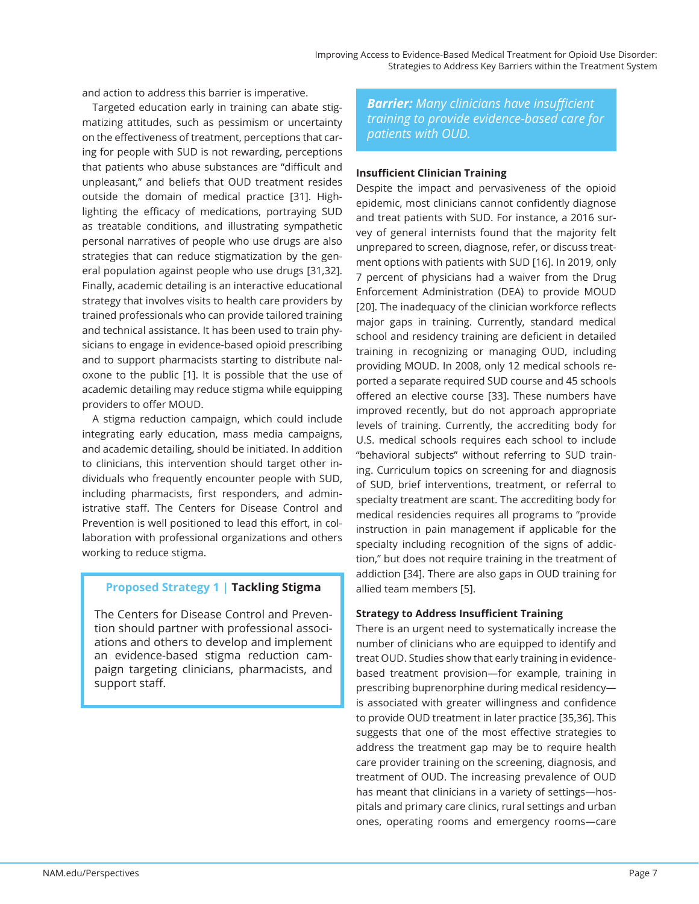and action to address this barrier is imperative.

Targeted education early in training can abate stigmatizing attitudes, such as pessimism or uncertainty on the effectiveness of treatment, perceptions that caring for people with SUD is not rewarding, perceptions that patients who abuse substances are "difficult and unpleasant," and beliefs that OUD treatment resides outside the domain of medical practice [31]. Highlighting the efficacy of medications, portraying SUD as treatable conditions, and illustrating sympathetic personal narratives of people who use drugs are also strategies that can reduce stigmatization by the general population against people who use drugs [31,32]. Finally, academic detailing is an interactive educational strategy that involves visits to health care providers by trained professionals who can provide tailored training and technical assistance. It has been used to train physicians to engage in evidence-based opioid prescribing and to support pharmacists starting to distribute naloxone to the public [1]. It is possible that the use of academic detailing may reduce stigma while equipping providers to offer MOUD.

A stigma reduction campaign, which could include integrating early education, mass media campaigns, and academic detailing, should be initiated. In addition to clinicians, this intervention should target other individuals who frequently encounter people with SUD, including pharmacists, first responders, and administrative staff. The Centers for Disease Control and Prevention is well positioned to lead this effort, in collaboration with professional organizations and others working to reduce stigma.

## **Proposed Strategy 1 | Tackling Stigma**

The Centers for Disease Control and Prevention should partner with professional associations and others to develop and implement an evidence-based stigma reduction campaign targeting clinicians, pharmacists, and support staff .

*Barrier: Many clinicians have insuffi cient training to provide evidence-based care for patients with OUD.*

#### **Insuffi cient Clinician Training**

Despite the impact and pervasiveness of the opioid epidemic, most clinicians cannot confidently diagnose and treat patients with SUD. For instance, a 2016 survey of general internists found that the majority felt unprepared to screen, diagnose, refer, or discuss treatment options with patients with SUD [16]. In 2019, only 7 percent of physicians had a waiver from the Drug Enforcement Administration (DEA) to provide MOUD [20]. The inadequacy of the clinician workforce reflects major gaps in training. Currently, standard medical school and residency training are deficient in detailed training in recognizing or managing OUD, including providing MOUD. In 2008, only 12 medical schools reported a separate required SUD course and 45 schools offered an elective course [33]. These numbers have improved recently, but do not approach appropriate levels of training. Currently, the accrediting body for U.S. medical schools requires each school to include "behavioral subjects" without referring to SUD training. Curriculum topics on screening for and diagnosis of SUD, brief interventions, treatment, or referral to specialty treatment are scant. The accrediting body for medical residencies requires all programs to "provide instruction in pain management if applicable for the specialty including recognition of the signs of addiction," but does not require training in the treatment of addiction [34]. There are also gaps in OUD training for allied team members [5].

#### **Strategy to Address Insufficient Training**

There is an urgent need to systematically increase the number of clinicians who are equipped to identify and treat OUD. Studies show that early training in evidencebased treatment provision—for example, training in prescribing buprenorphine during medical residency is associated with greater willingness and confidence to provide OUD treatment in later practice [35,36]. This suggests that one of the most effective strategies to address the treatment gap may be to require health care provider training on the screening, diagnosis, and treatment of OUD. The increasing prevalence of OUD has meant that clinicians in a variety of settings—hospitals and primary care clinics, rural settings and urban ones, operating rooms and emergency rooms—care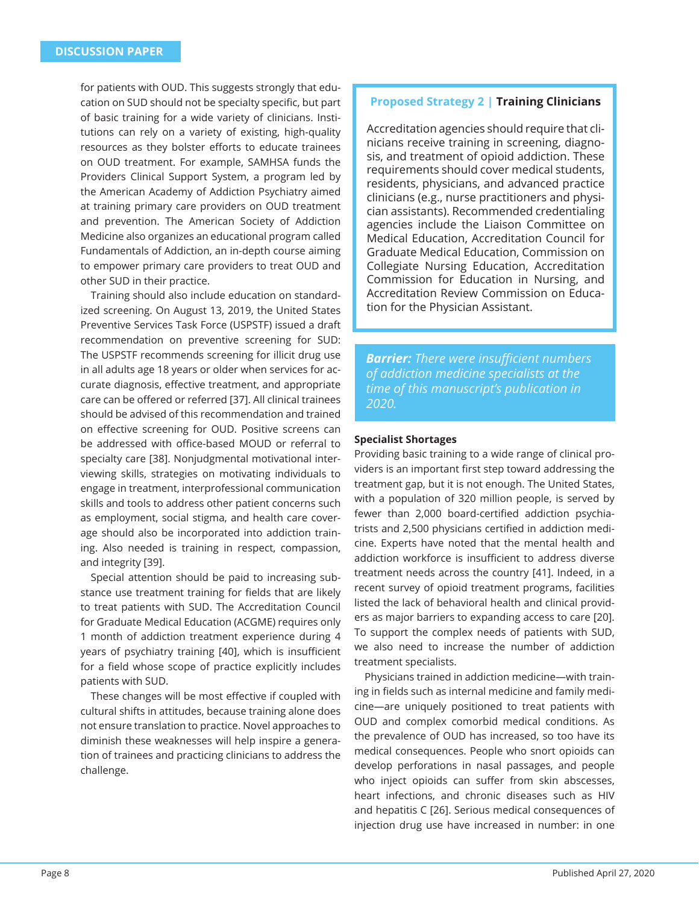for patients with OUD. This suggests strongly that education on SUD should not be specialty specific, but part of basic training for a wide variety of clinicians. Institutions can rely on a variety of existing, high-quality resources as they bolster efforts to educate trainees on OUD treatment. For example, SAMHSA funds the Providers Clinical Support System, a program led by the American Academy of Addiction Psychiatry aimed at training primary care providers on OUD treatment and prevention. The American Society of Addiction Medicine also organizes an educational program called Fundamentals of Addiction, an in-depth course aiming to empower primary care providers to treat OUD and other SUD in their practice.

Training should also include education on standardized screening. On August 13, 2019, the United States Preventive Services Task Force (USPSTF) issued a draft recommendation on preventive screening for SUD: The USPSTF recommends screening for illicit drug use in all adults age 18 years or older when services for accurate diagnosis, effective treatment, and appropriate care can be offered or referred [37]. All clinical trainees should be advised of this recommendation and trained on effective screening for OUD. Positive screens can be addressed with office-based MOUD or referral to specialty care [38]. Nonjudgmental motivational interviewing skills, strategies on motivating individuals to engage in treatment, interprofessional communication skills and tools to address other patient concerns such as employment, social stigma, and health care coverage should also be incorporated into addiction training. Also needed is training in respect, compassion, and integrity [39].

Special attention should be paid to increasing substance use treatment training for fields that are likely to treat patients with SUD. The Accreditation Council for Graduate Medical Education (ACGME) requires only 1 month of addiction treatment experience during 4 years of psychiatry training [40], which is insufficient for a field whose scope of practice explicitly includes patients with SUD.

These changes will be most effective if coupled with cultural shifts in attitudes, because training alone does not ensure translation to practice. Novel approaches to diminish these weaknesses will help inspire a generation of trainees and practicing clinicians to address the challenge.

## **Proposed Strategy 2 | Training Clinicians**

Accreditation agencies should require that clinicians receive training in screening, diagnosis, and treatment of opioid addiction. These requirements should cover medical students, residents, physicians, and advanced practice clinicians (e.g., nurse practitioners and physician assistants). Recommended credentialing agencies include the Liaison Committee on Medical Education, Accreditation Council for Graduate Medical Education, Commission on Collegiate Nursing Education, Accreditation Commission for Education in Nursing, and Accreditation Review Commission on Education for the Physician Assistant.

*Barrier: There were insuffi cient numbers of addiction medicine specialists at the time of this manuscript's publication in 2020.*

#### **Specialist Shortages**

Providing basic training to a wide range of clinical providers is an important first step toward addressing the treatment gap, but it is not enough. The United States, with a population of 320 million people, is served by fewer than 2,000 board-certified addiction psychiatrists and 2,500 physicians certified in addiction medicine. Experts have noted that the mental health and addiction workforce is insufficient to address diverse treatment needs across the country [41]. Indeed, in a recent survey of opioid treatment programs, facilities listed the lack of behavioral health and clinical providers as major barriers to expanding access to care [20]. To support the complex needs of patients with SUD, we also need to increase the number of addiction treatment specialists.

Physicians trained in addiction medicine—with training in fields such as internal medicine and family medicine—are uniquely positioned to treat patients with OUD and complex comorbid medical conditions. As the prevalence of OUD has increased, so too have its medical consequences. People who snort opioids can develop perforations in nasal passages, and people who inject opioids can suffer from skin abscesses, heart infections, and chronic diseases such as HIV and hepatitis C [26]. Serious medical consequences of injection drug use have increased in number: in one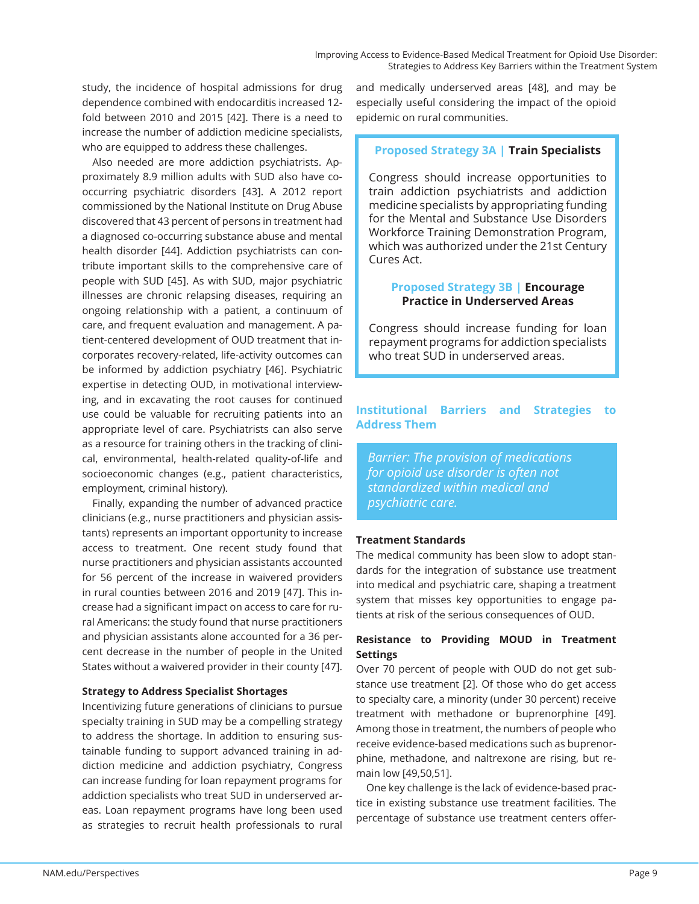study, the incidence of hospital admissions for drug dependence combined with endocarditis increased 12 fold between 2010 and 2015 [42]. There is a need to increase the number of addiction medicine specialists, who are equipped to address these challenges.

Also needed are more addiction psychiatrists. Approximately 8.9 million adults with SUD also have cooccurring psychiatric disorders [43]. A 2012 report commissioned by the National Institute on Drug Abuse discovered that 43 percent of persons in treatment had a diagnosed co-occurring substance abuse and mental health disorder [44]. Addiction psychiatrists can contribute important skills to the comprehensive care of people with SUD [45]. As with SUD, major psychiatric illnesses are chronic relapsing diseases, requiring an ongoing relationship with a patient, a continuum of care, and frequent evaluation and management. A patient-centered development of OUD treatment that incorporates recovery-related, life-activity outcomes can be informed by addiction psychiatry [46]. Psychiatric expertise in detecting OUD, in motivational interviewing, and in excavating the root causes for continued use could be valuable for recruiting patients into an appropriate level of care. Psychiatrists can also serve as a resource for training others in the tracking of clinical, environmental, health-related quality-of-life and socioeconomic changes (e.g., patient characteristics, employment, criminal history).

Finally, expanding the number of advanced practice clinicians (e.g., nurse practitioners and physician assistants) represents an important opportunity to increase access to treatment. One recent study found that nurse practitioners and physician assistants accounted for 56 percent of the increase in waivered providers in rural counties between 2016 and 2019 [47]. This increase had a significant impact on access to care for rural Americans: the study found that nurse practitioners and physician assistants alone accounted for a 36 percent decrease in the number of people in the United States without a waivered provider in their county [47].

#### **Strategy to Address Specialist Shortages**

Incentivizing future generations of clinicians to pursue specialty training in SUD may be a compelling strategy to address the shortage. In addition to ensuring sustainable funding to support advanced training in addiction medicine and addiction psychiatry, Congress can increase funding for loan repayment programs for addiction specialists who treat SUD in underserved areas. Loan repayment programs have long been used as strategies to recruit health professionals to rural

and medically underserved areas [48], and may be especially useful considering the impact of the opioid epidemic on rural communities.

## **Proposed Strategy 3A | Train Specialists**

Congress should increase opportunities to train addiction psychiatrists and addiction medicine specialists by appropriating funding for the Mental and Substance Use Disorders Workforce Training Demonstration Program, which was authorized under the 21st Century Cures Act.

## **Proposed Strategy 3B | Encourage Practice in Underserved Areas**

Congress should increase funding for loan repayment programs for addiction specialists who treat SUD in underserved areas.

## **Institutional Barriers and Strategies to Address Them**

*Barrier: The provision of medications for opioid use disorder is often not standardized within medical and psychiatric care.*

#### **Treatment Standards**

The medical community has been slow to adopt standards for the integration of substance use treatment into medical and psychiatric care, shaping a treatment system that misses key opportunities to engage patients at risk of the serious consequences of OUD.

## **Resistance to Providing MOUD in Treatment Settings**

Over 70 percent of people with OUD do not get substance use treatment [2]. Of those who do get access to specialty care, a minority (under 30 percent) receive treatment with methadone or buprenorphine [49]. Among those in treatment, the numbers of people who receive evidence-based medications such as buprenorphine, methadone, and naltrexone are rising, but remain low [49,50,51].

One key challenge is the lack of evidence-based practice in existing substance use treatment facilities. The percentage of substance use treatment centers offer-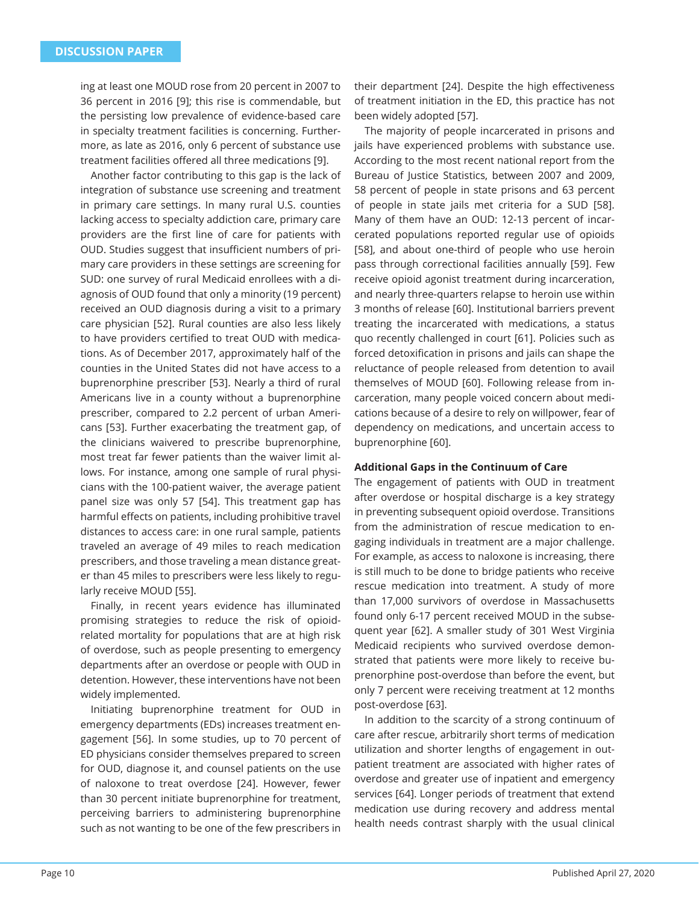ing at least one MOUD rose from 20 percent in 2007 to 36 percent in 2016 [9]; this rise is commendable, but the persisting low prevalence of evidence-based care in specialty treatment facilities is concerning. Furthermore, as late as 2016, only 6 percent of substance use treatment facilities offered all three medications [9].

Another factor contributing to this gap is the lack of integration of substance use screening and treatment in primary care settings. In many rural U.S. counties lacking access to specialty addiction care, primary care providers are the first line of care for patients with OUD. Studies suggest that insufficient numbers of primary care providers in these settings are screening for SUD: one survey of rural Medicaid enrollees with a diagnosis of OUD found that only a minority (19 percent) received an OUD diagnosis during a visit to a primary care physician [52]. Rural counties are also less likely to have providers certified to treat OUD with medications. As of December 2017, approximately half of the counties in the United States did not have access to a buprenorphine prescriber [53]. Nearly a third of rural Americans live in a county without a buprenorphine prescriber, compared to 2.2 percent of urban Americans [53]. Further exacerbating the treatment gap, of the clinicians waivered to prescribe buprenorphine, most treat far fewer patients than the waiver limit allows. For instance, among one sample of rural physicians with the 100-patient waiver, the average patient panel size was only 57 [54]. This treatment gap has harmful effects on patients, including prohibitive travel distances to access care: in one rural sample, patients traveled an average of 49 miles to reach medication prescribers, and those traveling a mean distance greater than 45 miles to prescribers were less likely to regularly receive MOUD [55].

Finally, in recent years evidence has illuminated promising strategies to reduce the risk of opioidrelated mortality for populations that are at high risk of overdose, such as people presenting to emergency departments after an overdose or people with OUD in detention. However, these interventions have not been widely implemented.

Initiating buprenorphine treatment for OUD in emergency departments (EDs) increases treatment engagement [56]. In some studies, up to 70 percent of ED physicians consider themselves prepared to screen for OUD, diagnose it, and counsel patients on the use of naloxone to treat overdose [24]. However, fewer than 30 percent initiate buprenorphine for treatment, perceiving barriers to administering buprenorphine such as not wanting to be one of the few prescribers in

their department [24]. Despite the high effectiveness of treatment initiation in the ED, this practice has not been widely adopted [57].

The majority of people incarcerated in prisons and jails have experienced problems with substance use. According to the most recent national report from the Bureau of Justice Statistics, between 2007 and 2009, 58 percent of people in state prisons and 63 percent of people in state jails met criteria for a SUD [58]. Many of them have an OUD: 12-13 percent of incarcerated populations reported regular use of opioids [58], and about one-third of people who use heroin pass through correctional facilities annually [59]. Few receive opioid agonist treatment during incarceration, and nearly three-quarters relapse to heroin use within 3 months of release [60]. Institutional barriers prevent treating the incarcerated with medications, a status quo recently challenged in court [61]. Policies such as forced detoxification in prisons and jails can shape the reluctance of people released from detention to avail themselves of MOUD [60]. Following release from incarceration, many people voiced concern about medications because of a desire to rely on willpower, fear of dependency on medications, and uncertain access to buprenorphine [60].

#### **Additional Gaps in the Continuum of Care**

The engagement of patients with OUD in treatment after overdose or hospital discharge is a key strategy in preventing subsequent opioid overdose. Transitions from the administration of rescue medication to engaging individuals in treatment are a major challenge. For example, as access to naloxone is increasing, there is still much to be done to bridge patients who receive rescue medication into treatment. A study of more than 17,000 survivors of overdose in Massachusetts found only 6-17 percent received MOUD in the subsequent year [62]. A smaller study of 301 West Virginia Medicaid recipients who survived overdose demonstrated that patients were more likely to receive buprenorphine post-overdose than before the event, but only 7 percent were receiving treatment at 12 months post-overdose [63].

In addition to the scarcity of a strong continuum of care after rescue, arbitrarily short terms of medication utilization and shorter lengths of engagement in outpatient treatment are associated with higher rates of overdose and greater use of inpatient and emergency services [64]. Longer periods of treatment that extend medication use during recovery and address mental health needs contrast sharply with the usual clinical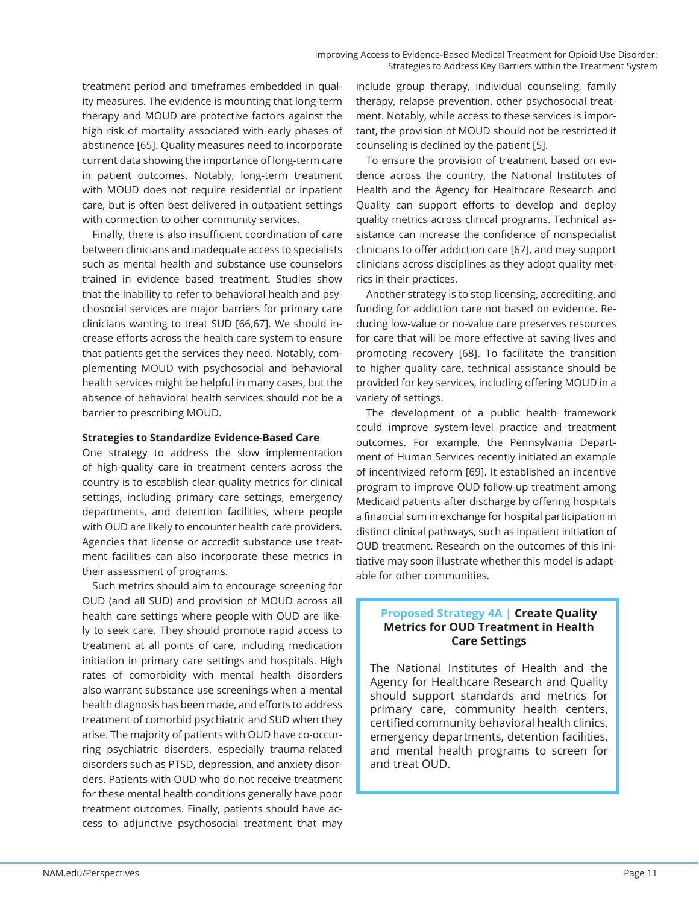treatment period and timeframes embedded in quality measures. The evidence is mounting that long-term therapy and MOUD are protective factors against the high risk of mortality associated with early phases of abstinence [65]. Quality measures need to incorporate current data showing the importance of long-term care in patient outcomes. Notably, long-term treatment with MOUD does not require residential or inpatient care, but is often best delivered in outpatient settings with connection to other community services.

Finally, there is also insufficient coordination of care between clinicians and inadequate access to specialists such as mental health and substance use counselors trained in evidence based treatment. Studies show that the inability to refer to behavioral health and psychosocial services are major barriers for primary care clinicians wanting to treat SUD [66,67]. We should increase efforts across the health care system to ensure that patients get the services they need. Notably, complementing MOUD with psychosocial and behavioral health services might be helpful in many cases, but the absence of behavioral health services should not be a barrier to prescribing MOUD.

#### **Strategies to Standardize Evidence-Based Care**

One strategy to address the slow implementation of high-quality care in treatment centers across the country is to establish clear quality metrics for clinical settings, including primary care settings, emergency departments, and detention facilities, where people with OUD are likely to encounter health care providers. Agencies that license or accredit substance use treatment facilities can also incorporate these metrics in their assessment of programs.

Such metrics should aim to encourage screening for OUD (and all SUD) and provision of MOUD across all health care settings where people with OUD are likely to seek care. They should promote rapid access to treatment at all points of care, including medication initiation in primary care settings and hospitals. High rates of comorbidity with mental health disorders also warrant substance use screenings when a mental health diagnosis has been made, and efforts to address treatment of comorbid psychiatric and SUD when they arise. The majority of patients with OUD have co-occurring psychiatric disorders, especially trauma-related disorders such as PTSD, depression, and anxiety disorders. Patients with OUD who do not receive treatment for these mental health conditions generally have poor treatment outcomes. Finally, patients should have access to adjunctive psychosocial treatment that may

include group therapy, individual counseling, family therapy, relapse prevention, other psychosocial treatment. Notably, while access to these services is important, the provision of MOUD should not be restricted if counseling is declined by the patient [5].

To ensure the provision of treatment based on evidence across the country, the National Institutes of Health and the Agency for Healthcare Research and Quality can support efforts to develop and deploy quality metrics across clinical programs. Technical assistance can increase the confidence of nonspecialist clinicians to offer addiction care [67], and may support clinicians across disciplines as they adopt quality metrics in their practices.

Another strategy is to stop licensing, accrediting, and funding for addiction care not based on evidence. Reducing low-value or no-value care preserves resources for care that will be more effective at saving lives and promoting recovery [68]. To facilitate the transition to higher quality care, technical assistance should be provided for key services, including offering MOUD in a variety of settings.

The development of a public health framework could improve system-level practice and treatment outcomes. For example, the Pennsylvania Department of Human Services recently initiated an example of incentivized reform [69]. It established an incentive program to improve OUD follow-up treatment among Medicaid patients after discharge by offering hospitals a financial sum in exchange for hospital participation in distinct clinical pathways, such as inpatient initiation of OUD treatment. Research on the outcomes of this initiative may soon illustrate whether this model is adaptable for other communities.

#### **Proposed Strategy 4A | Create Quality Metrics for OUD Treatment in Health Care Settings**

The National Institutes of Health and the Agency for Healthcare Research and Quality should support standards and metrics for primary care, community health centers, certified community behavioral health clinics, emergency departments, detention facilities, and mental health programs to screen for and treat OUD.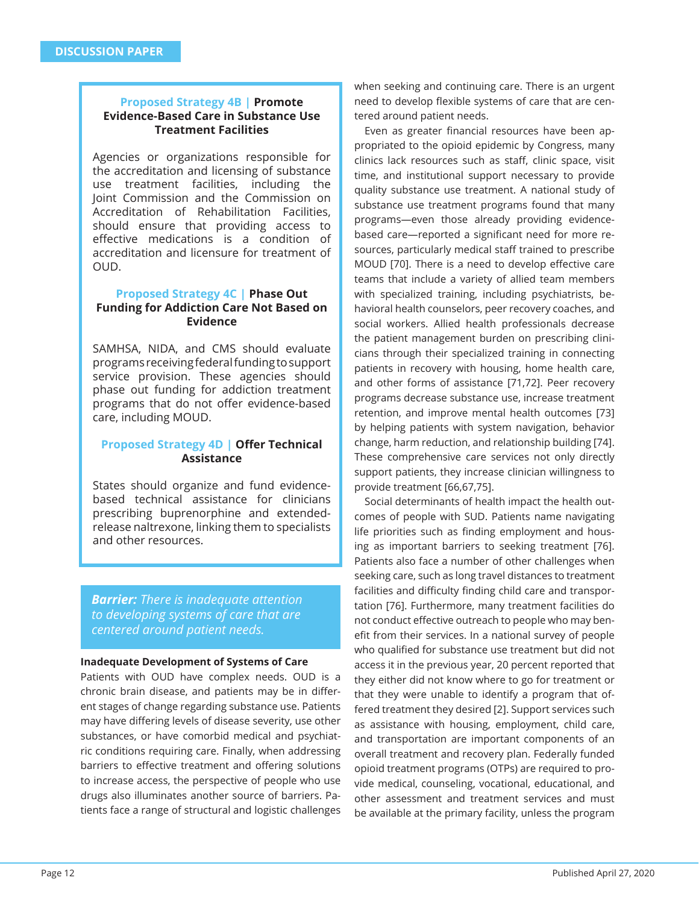## **Proposed Strategy 4B | Promote Evidence-Based Care in Substance Use Treatment Facilities**

Agencies or organizations responsible for the accreditation and licensing of substance use treatment facilities, including the Joint Commission and the Commission on Accreditation of Rehabilitation Facilities, should ensure that providing access to eff ective medications is a condition of accreditation and licensure for treatment of OUD.

#### **Proposed Strategy 4C | Phase Out Funding for Addiction Care Not Based on Evidence**

SAMHSA, NIDA, and CMS should evaluate programs receiving federal funding to support service provision. These agencies should phase out funding for addiction treatment programs that do not offer evidence-based care, including MOUD.

#### **Proposed Strategy 4D | Offer Technical Assistance**

States should organize and fund evidencebased technical assistance for clinicians prescribing buprenorphine and extendedrelease naltrexone, linking them to specialists and other resources.

*Barrier: There is inadequate attention to developing systems of care that are centered around patient needs.*

#### **Inadequate Development of Systems of Care**

Patients with OUD have complex needs. OUD is a chronic brain disease, and patients may be in different stages of change regarding substance use. Patients may have differing levels of disease severity, use other substances, or have comorbid medical and psychiatric conditions requiring care. Finally, when addressing barriers to effective treatment and offering solutions to increase access, the perspective of people who use drugs also illuminates another source of barriers. Patients face a range of structural and logistic challenges when seeking and continuing care. There is an urgent need to develop flexible systems of care that are centered around patient needs.

Even as greater financial resources have been appropriated to the opioid epidemic by Congress, many clinics lack resources such as staff, clinic space, visit time, and institutional support necessary to provide quality substance use treatment. A national study of substance use treatment programs found that many programs—even those already providing evidencebased care—reported a significant need for more resources, particularly medical staff trained to prescribe MOUD [70]. There is a need to develop effective care teams that include a variety of allied team members with specialized training, including psychiatrists, behavioral health counselors, peer recovery coaches, and social workers. Allied health professionals decrease the patient management burden on prescribing clinicians through their specialized training in connecting patients in recovery with housing, home health care, and other forms of assistance [71,72]. Peer recovery programs decrease substance use, increase treatment retention, and improve mental health outcomes [73] by helping patients with system navigation, behavior change, harm reduction, and relationship building [74]. These comprehensive care services not only directly support patients, they increase clinician willingness to provide treatment [66,67,75].

Social determinants of health impact the health outcomes of people with SUD. Patients name navigating life priorities such as finding employment and housing as important barriers to seeking treatment [76]. Patients also face a number of other challenges when seeking care, such as long travel distances to treatment facilities and difficulty finding child care and transportation [76]. Furthermore, many treatment facilities do not conduct effective outreach to people who may benefit from their services. In a national survey of people who qualified for substance use treatment but did not access it in the previous year, 20 percent reported that they either did not know where to go for treatment or that they were unable to identify a program that offered treatment they desired [2]. Support services such as assistance with housing, employment, child care, and transportation are important components of an overall treatment and recovery plan. Federally funded opioid treatment programs (OTPs) are required to provide medical, counseling, vocational, educational, and other assessment and treatment services and must be available at the primary facility, unless the program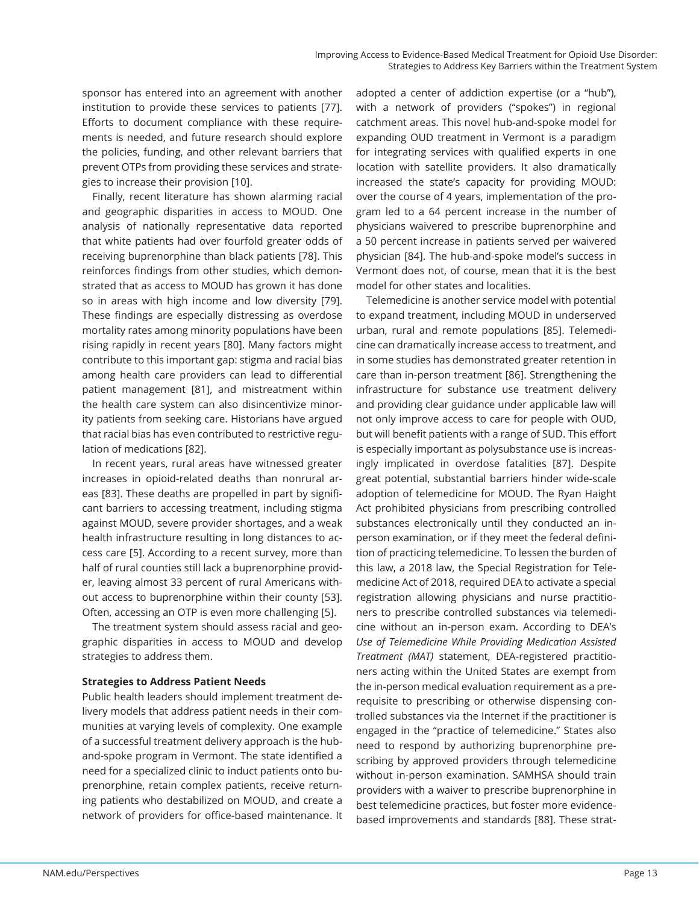sponsor has entered into an agreement with another institution to provide these services to patients [77]. Efforts to document compliance with these requirements is needed, and future research should explore the policies, funding, and other relevant barriers that prevent OTPs from providing these services and strategies to increase their provision [10].

Finally, recent literature has shown alarming racial and geographic disparities in access to MOUD. One analysis of nationally representative data reported that white patients had over fourfold greater odds of receiving buprenorphine than black patients [78]. This reinforces findings from other studies, which demonstrated that as access to MOUD has grown it has done so in areas with high income and low diversity [79]. These findings are especially distressing as overdose mortality rates among minority populations have been rising rapidly in recent years [80]. Many factors might contribute to this important gap: stigma and racial bias among health care providers can lead to differential patient management [81], and mistreatment within the health care system can also disincentivize minority patients from seeking care. Historians have argued that racial bias has even contributed to restrictive regulation of medications [82].

In recent years, rural areas have witnessed greater increases in opioid-related deaths than nonrural areas [83]. These deaths are propelled in part by significant barriers to accessing treatment, including stigma against MOUD, severe provider shortages, and a weak health infrastructure resulting in long distances to access care [5]. According to a recent survey, more than half of rural counties still lack a buprenorphine provider, leaving almost 33 percent of rural Americans without access to buprenorphine within their county [53]. Often, accessing an OTP is even more challenging [5].

The treatment system should assess racial and geographic disparities in access to MOUD and develop strategies to address them.

#### **Strategies to Address Patient Needs**

Public health leaders should implement treatment delivery models that address patient needs in their communities at varying levels of complexity. One example of a successful treatment delivery approach is the huband-spoke program in Vermont. The state identified a need for a specialized clinic to induct patients onto buprenorphine, retain complex patients, receive returning patients who destabilized on MOUD, and create a network of providers for office-based maintenance. It adopted a center of addiction expertise (or a "hub"), with a network of providers ("spokes") in regional catchment areas. This novel hub-and-spoke model for expanding OUD treatment in Vermont is a paradigm for integrating services with qualified experts in one location with satellite providers. It also dramatically increased the state's capacity for providing MOUD: over the course of 4 years, implementation of the program led to a 64 percent increase in the number of physicians waivered to prescribe buprenorphine and a 50 percent increase in patients served per waivered physician [84]. The hub-and-spoke model's success in Vermont does not, of course, mean that it is the best model for other states and localities.

Telemedicine is another service model with potential to expand treatment, including MOUD in underserved urban, rural and remote populations [85]. Telemedicine can dramatically increase access to treatment, and in some studies has demonstrated greater retention in care than in-person treatment [86]. Strengthening the infrastructure for substance use treatment delivery and providing clear guidance under applicable law will not only improve access to care for people with OUD, but will benefit patients with a range of SUD. This effort is especially important as polysubstance use is increasingly implicated in overdose fatalities [87]. Despite great potential, substantial barriers hinder wide-scale adoption of telemedicine for MOUD. The Ryan Haight Act prohibited physicians from prescribing controlled substances electronically until they conducted an inperson examination, or if they meet the federal definition of practicing telemedicine. To lessen the burden of this law, a 2018 law, the Special Registration for Telemedicine Act of 2018, required DEA to activate a special registration allowing physicians and nurse practitioners to prescribe controlled substances via telemedicine without an in-person exam. According to DEA's *Use of Telemedicine While Providing Medication Assisted Treatment (MAT)* statement, DEA-registered practitioners acting within the United States are exempt from the in-person medical evaluation requirement as a prerequisite to prescribing or otherwise dispensing controlled substances via the Internet if the practitioner is engaged in the "practice of telemedicine." States also need to respond by authorizing buprenorphine prescribing by approved providers through telemedicine without in-person examination. SAMHSA should train providers with a waiver to prescribe buprenorphine in best telemedicine practices, but foster more evidencebased improvements and standards [88]. These strat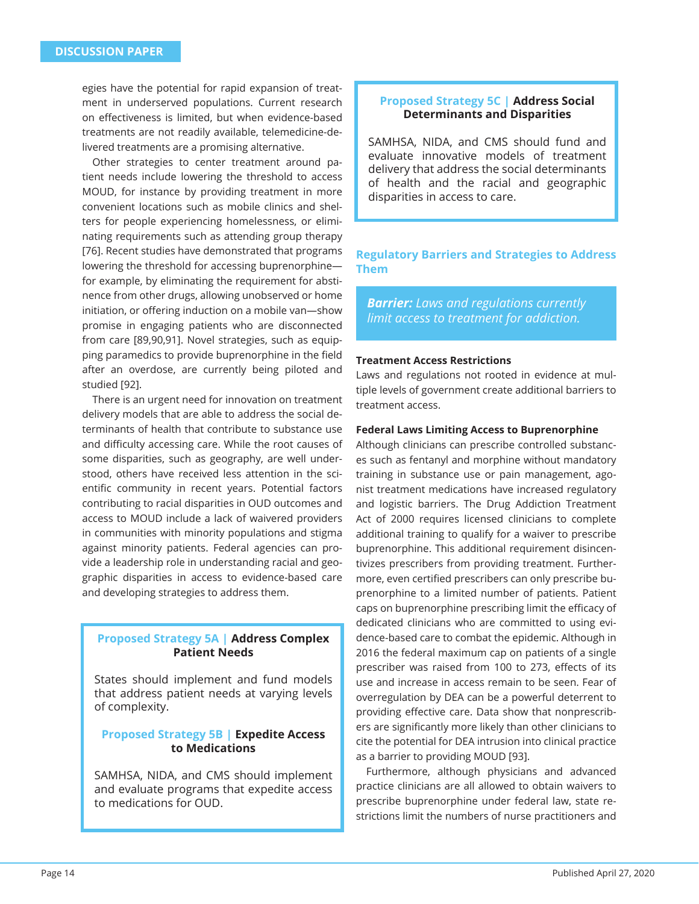egies have the potential for rapid expansion of treatment in underserved populations. Current research on effectiveness is limited, but when evidence-based treatments are not readily available, telemedicine-delivered treatments are a promising alternative.

Other strategies to center treatment around patient needs include lowering the threshold to access MOUD, for instance by providing treatment in more convenient locations such as mobile clinics and shelters for people experiencing homelessness, or eliminating requirements such as attending group therapy [76]. Recent studies have demonstrated that programs lowering the threshold for accessing buprenorphine for example, by eliminating the requirement for abstinence from other drugs, allowing unobserved or home initiation, or offering induction on a mobile van-show promise in engaging patients who are disconnected from care [89,90,91]. Novel strategies, such as equipping paramedics to provide buprenorphine in the field after an overdose, are currently being piloted and studied [92].

There is an urgent need for innovation on treatment delivery models that are able to address the social determinants of health that contribute to substance use and difficulty accessing care. While the root causes of some disparities, such as geography, are well understood, others have received less attention in the scientific community in recent years. Potential factors contributing to racial disparities in OUD outcomes and access to MOUD include a lack of waivered providers in communities with minority populations and stigma against minority patients. Federal agencies can provide a leadership role in understanding racial and geographic disparities in access to evidence-based care and developing strategies to address them.

## **Proposed Strategy 5A | Address Complex Patient Needs**

States should implement and fund models that address patient needs at varying levels of complexity.

## **Proposed Strategy 5B | Expedite Access to Medications**

SAMHSA, NIDA, and CMS should implement and evaluate programs that expedite access to medications for OUD.

## **Proposed Strategy 5C | Address Social Determinants and Disparities**

SAMHSA, NIDA, and CMS should fund and evaluate innovative models of treatment delivery that address the social determinants of health and the racial and geographic disparities in access to care.

## **Regulatory Barriers and Strategies to Address Them**

*Barrier: Laws and regulations currently limit access to treatment for addiction.*

#### **Treatment Access Restrictions**

Laws and regulations not rooted in evidence at multiple levels of government create additional barriers to treatment access.

#### **Federal Laws Limiting Access to Buprenorphine**

Although clinicians can prescribe controlled substances such as fentanyl and morphine without mandatory training in substance use or pain management, agonist treatment medications have increased regulatory and logistic barriers. The Drug Addiction Treatment Act of 2000 requires licensed clinicians to complete additional training to qualify for a waiver to prescribe buprenorphine. This additional requirement disincentivizes prescribers from providing treatment. Furthermore, even certified prescribers can only prescribe buprenorphine to a limited number of patients. Patient caps on buprenorphine prescribing limit the efficacy of dedicated clinicians who are committed to using evidence-based care to combat the epidemic. Although in 2016 the federal maximum cap on patients of a single prescriber was raised from 100 to 273, effects of its use and increase in access remain to be seen. Fear of overregulation by DEA can be a powerful deterrent to providing effective care. Data show that nonprescribers are significantly more likely than other clinicians to cite the potential for DEA intrusion into clinical practice as a barrier to providing MOUD [93].

Furthermore, although physicians and advanced practice clinicians are all allowed to obtain waivers to prescribe buprenorphine under federal law, state restrictions limit the numbers of nurse practitioners and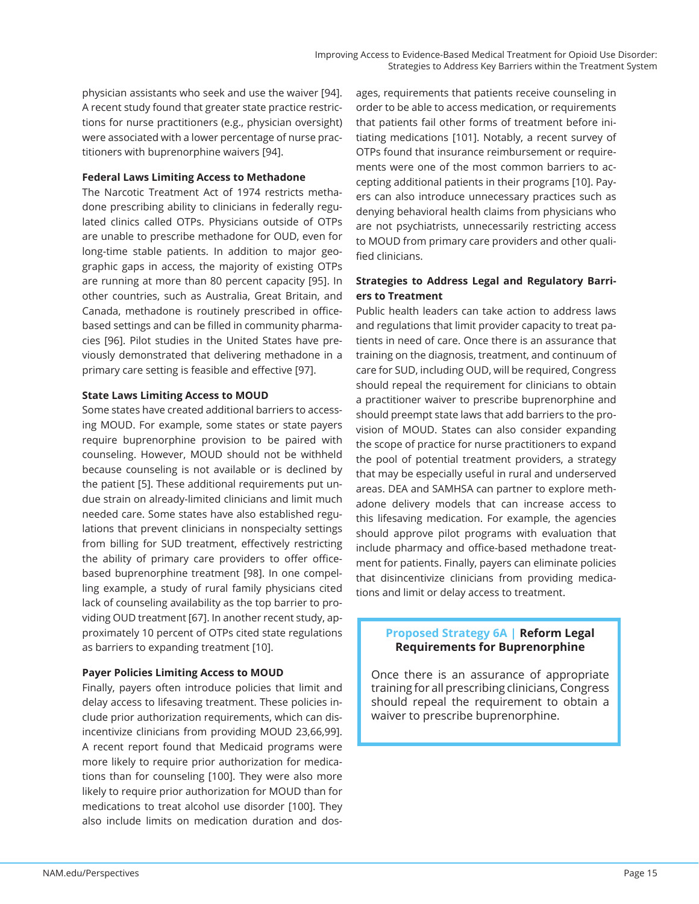physician assistants who seek and use the waiver [94]. A recent study found that greater state practice restrictions for nurse practitioners (e.g., physician oversight) were associated with a lower percentage of nurse practitioners with buprenorphine waivers [94].

#### **Federal Laws Limiting Access to Methadone**

The Narcotic Treatment Act of 1974 restricts methadone prescribing ability to clinicians in federally regulated clinics called OTPs. Physicians outside of OTPs are unable to prescribe methadone for OUD, even for long-time stable patients. In addition to major geographic gaps in access, the majority of existing OTPs are running at more than 80 percent capacity [95]. In other countries, such as Australia, Great Britain, and Canada, methadone is routinely prescribed in officebased settings and can be filled in community pharmacies [96]. Pilot studies in the United States have previously demonstrated that delivering methadone in a primary care setting is feasible and effective [97].

#### **State Laws Limiting Access to MOUD**

Some states have created additional barriers to accessing MOUD. For example, some states or state payers require buprenorphine provision to be paired with counseling. However, MOUD should not be withheld because counseling is not available or is declined by the patient [5]. These additional requirements put undue strain on already-limited clinicians and limit much needed care. Some states have also established regulations that prevent clinicians in nonspecialty settings from billing for SUD treatment, effectively restricting the ability of primary care providers to offer officebased buprenorphine treatment [98]. In one compelling example, a study of rural family physicians cited lack of counseling availability as the top barrier to providing OUD treatment [67]. In another recent study, approximately 10 percent of OTPs cited state regulations as barriers to expanding treatment [10].

#### **Payer Policies Limiting Access to MOUD**

Finally, payers often introduce policies that limit and delay access to lifesaving treatment. These policies include prior authorization requirements, which can disincentivize clinicians from providing MOUD 23,66,99]. A recent report found that Medicaid programs were more likely to require prior authorization for medications than for counseling [100]. They were also more likely to require prior authorization for MOUD than for medications to treat alcohol use disorder [100]. They also include limits on medication duration and dos-

ages, requirements that patients receive counseling in order to be able to access medication, or requirements that patients fail other forms of treatment before initiating medications [101]. Notably, a recent survey of OTPs found that insurance reimbursement or requirements were one of the most common barriers to accepting additional patients in their programs [10]. Payers can also introduce unnecessary practices such as denying behavioral health claims from physicians who are not psychiatrists, unnecessarily restricting access to MOUD from primary care providers and other qualified clinicians.

## **Strategies to Address Legal and Regulatory Barriers to Treatment**

Public health leaders can take action to address laws and regulations that limit provider capacity to treat patients in need of care. Once there is an assurance that training on the diagnosis, treatment, and continuum of care for SUD, including OUD, will be required, Congress should repeal the requirement for clinicians to obtain a practitioner waiver to prescribe buprenorphine and should preempt state laws that add barriers to the provision of MOUD. States can also consider expanding the scope of practice for nurse practitioners to expand the pool of potential treatment providers, a strategy that may be especially useful in rural and underserved areas. DEA and SAMHSA can partner to explore methadone delivery models that can increase access to this lifesaving medication. For example, the agencies should approve pilot programs with evaluation that include pharmacy and office-based methadone treatment for patients. Finally, payers can eliminate policies that disincentivize clinicians from providing medications and limit or delay access to treatment.

## **Proposed Strategy 6A | Reform Legal Requirements for Buprenorphine**

Once there is an assurance of appropriate training for all prescribing clinicians, Congress should repeal the requirement to obtain a waiver to prescribe buprenorphine.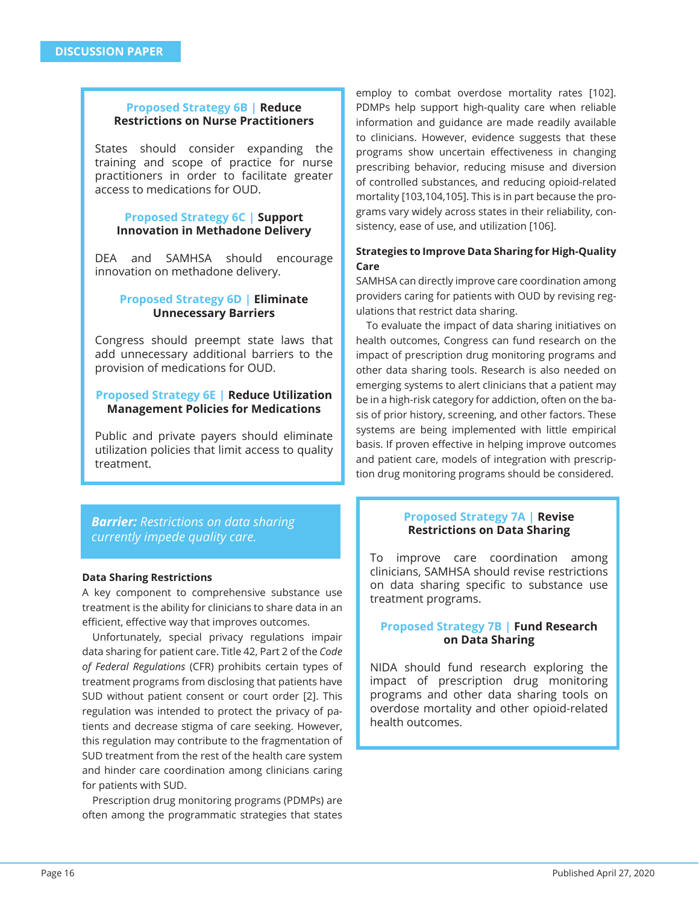## **Proposed Strategy 6B | Reduce Restrictions on Nurse Practitioners**

States should consider expanding the training and scope of practice for nurse practitioners in order to facilitate greater access to medications for OUD.

#### **Proposed Strategy 6C | Support Innovation in Methadone Delivery**

DEA and SAMHSA should encourage innovation on methadone delivery.

#### **Proposed Strategy 6D | Eliminate Unnecessary Barriers**

Congress should preempt state laws that add unnecessary additional barriers to the provision of medications for OUD.

## **Proposed Strategy 6E | Reduce Utilization Management Policies for Medications**

Public and private payers should eliminate utilization policies that limit access to quality treatment.

*Barrier: Restrictions on data sharing currently impede quality care.*

#### **Data Sharing Restrictions**

A key component to comprehensive substance use treatment is the ability for clinicians to share data in an efficient, effective way that improves outcomes.

Unfortunately, special privacy regulations impair data sharing for patient care. Title 42, Part 2 of the *Code of Federal Regulations* (CFR) prohibits certain types of treatment programs from disclosing that patients have SUD without patient consent or court order [2]. This regulation was intended to protect the privacy of patients and decrease stigma of care seeking. However, this regulation may contribute to the fragmentation of SUD treatment from the rest of the health care system and hinder care coordination among clinicians caring for patients with SUD.

Prescription drug monitoring programs (PDMPs) are often among the programmatic strategies that states

employ to combat overdose mortality rates [102]. PDMPs help support high-quality care when reliable information and guidance are made readily available to clinicians. However, evidence suggests that these programs show uncertain effectiveness in changing prescribing behavior, reducing misuse and diversion of controlled substances, and reducing opioid-related mortality [103,104,105]. This is in part because the programs vary widely across states in their reliability, consistency, ease of use, and utilization [106].

## **Strategies to Improve Data Sharing for High-Quality Care**

SAMHSA can directly improve care coordination among providers caring for patients with OUD by revising regulations that restrict data sharing.

To evaluate the impact of data sharing initiatives on health outcomes, Congress can fund research on the impact of prescription drug monitoring programs and other data sharing tools. Research is also needed on emerging systems to alert clinicians that a patient may be in a high-risk category for addiction, often on the basis of prior history, screening, and other factors. These systems are being implemented with little empirical basis. If proven effective in helping improve outcomes and patient care, models of integration with prescription drug monitoring programs should be considered.

## **Proposed Strategy 7A | Revise Restrictions on Data Sharing**

To improve care coordination among clinicians, SAMHSA should revise restrictions on data sharing specific to substance use treatment programs.

## **Proposed Strategy 7B | Fund Research on Data Sharing**

NIDA should fund research exploring the impact of prescription drug monitoring programs and other data sharing tools on overdose mortality and other opioid-related health outcomes.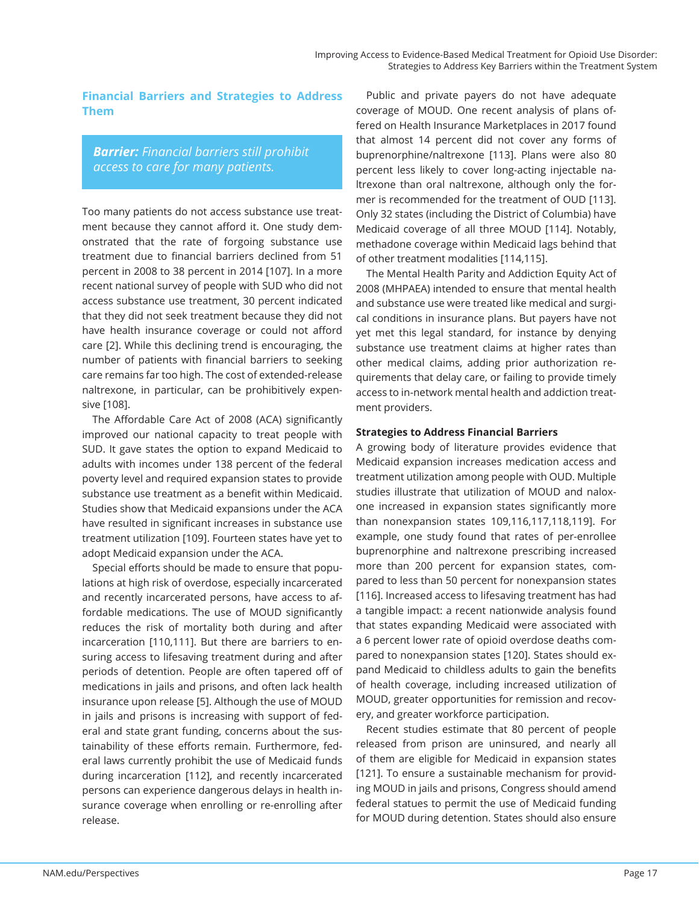## **Financial Barriers and Strategies to Address Them**

*Barrier: Financial barriers still prohibit access to care for many patients.*

Too many patients do not access substance use treatment because they cannot afford it. One study demonstrated that the rate of forgoing substance use treatment due to financial barriers declined from 51 percent in 2008 to 38 percent in 2014 [107]. In a more recent national survey of people with SUD who did not access substance use treatment, 30 percent indicated that they did not seek treatment because they did not have health insurance coverage or could not afford care [2]. While this declining trend is encouraging, the number of patients with financial barriers to seeking care remains far too high. The cost of extended-release naltrexone, in particular, can be prohibitively expensive [108].

The Affordable Care Act of 2008 (ACA) significantly improved our national capacity to treat people with SUD. It gave states the option to expand Medicaid to adults with incomes under 138 percent of the federal poverty level and required expansion states to provide substance use treatment as a benefit within Medicaid. Studies show that Medicaid expansions under the ACA have resulted in significant increases in substance use treatment utilization [109]. Fourteen states have yet to adopt Medicaid expansion under the ACA.

Special efforts should be made to ensure that populations at high risk of overdose, especially incarcerated and recently incarcerated persons, have access to affordable medications. The use of MOUD significantly reduces the risk of mortality both during and after incarceration [110,111]. But there are barriers to ensuring access to lifesaving treatment during and after periods of detention. People are often tapered off of medications in jails and prisons, and often lack health insurance upon release [5]. Although the use of MOUD in jails and prisons is increasing with support of federal and state grant funding, concerns about the sustainability of these efforts remain. Furthermore, federal laws currently prohibit the use of Medicaid funds during incarceration [112], and recently incarcerated persons can experience dangerous delays in health insurance coverage when enrolling or re-enrolling after release.

Public and private payers do not have adequate coverage of MOUD. One recent analysis of plans offered on Health Insurance Marketplaces in 2017 found that almost 14 percent did not cover any forms of buprenorphine/naltrexone [113]. Plans were also 80 percent less likely to cover long-acting injectable naltrexone than oral naltrexone, although only the former is recommended for the treatment of OUD [113]. Only 32 states (including the District of Columbia) have Medicaid coverage of all three MOUD [114]. Notably, methadone coverage within Medicaid lags behind that of other treatment modalities [114,115].

The Mental Health Parity and Addiction Equity Act of 2008 (MHPAEA) intended to ensure that mental health and substance use were treated like medical and surgical conditions in insurance plans. But payers have not yet met this legal standard, for instance by denying substance use treatment claims at higher rates than other medical claims, adding prior authorization requirements that delay care, or failing to provide timely access to in-network mental health and addiction treatment providers.

#### **Strategies to Address Financial Barriers**

A growing body of literature provides evidence that Medicaid expansion increases medication access and treatment utilization among people with OUD. Multiple studies illustrate that utilization of MOUD and naloxone increased in expansion states significantly more than nonexpansion states 109,116,117,118,119]. For example, one study found that rates of per-enrollee buprenorphine and naltrexone prescribing increased more than 200 percent for expansion states, compared to less than 50 percent for nonexpansion states [116]. Increased access to lifesaving treatment has had a tangible impact: a recent nationwide analysis found that states expanding Medicaid were associated with a 6 percent lower rate of opioid overdose deaths compared to nonexpansion states [120]. States should expand Medicaid to childless adults to gain the benefits of health coverage, including increased utilization of MOUD, greater opportunities for remission and recovery, and greater workforce participation.

Recent studies estimate that 80 percent of people released from prison are uninsured, and nearly all of them are eligible for Medicaid in expansion states [121]. To ensure a sustainable mechanism for providing MOUD in jails and prisons, Congress should amend federal statues to permit the use of Medicaid funding for MOUD during detention. States should also ensure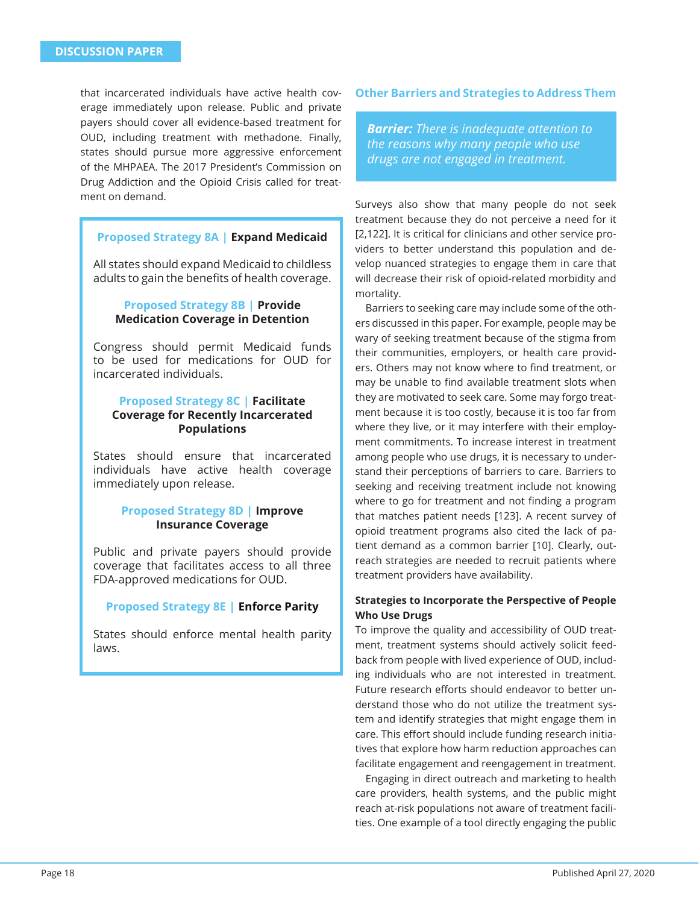that incarcerated individuals have active health coverage immediately upon release. Public and private payers should cover all evidence-based treatment for OUD, including treatment with methadone. Finally, states should pursue more aggressive enforcement of the MHPAEA. The 2017 President's Commission on Drug Addiction and the Opioid Crisis called for treatment on demand.

## **Proposed Strategy 8A | Expand Medicaid**

All states should expand Medicaid to childless adults to gain the benefits of health coverage.

## **Proposed Strategy 8B | Provide Medication Coverage in Detention**

Congress should permit Medicaid funds to be used for medications for OUD for incarcerated individuals.

## **Proposed Strategy 8C | Facilitate Coverage for Recently Incarcerated Populations**

States should ensure that incarcerated individuals have active health coverage immediately upon release.

## **Proposed Strategy 8D | Improve Insurance Coverage**

Public and private payers should provide coverage that facilitates access to all three FDA-approved medications for OUD.

#### **Proposed Strategy 8E | Enforce Parity**

States should enforce mental health parity laws.

#### **Other Barriers and Strategies to Address Them**

*Barrier: There is inadequate attention to the reasons why many people who use drugs are not engaged in treatment.*

Surveys also show that many people do not seek treatment because they do not perceive a need for it [2,122]. It is critical for clinicians and other service providers to better understand this population and develop nuanced strategies to engage them in care that will decrease their risk of opioid-related morbidity and mortality.

Barriers to seeking care may include some of the others discussed in this paper. For example, people may be wary of seeking treatment because of the stigma from their communities, employers, or health care providers. Others may not know where to find treatment, or may be unable to find available treatment slots when they are motivated to seek care. Some may forgo treatment because it is too costly, because it is too far from where they live, or it may interfere with their employment commitments. To increase interest in treatment among people who use drugs, it is necessary to understand their perceptions of barriers to care. Barriers to seeking and receiving treatment include not knowing where to go for treatment and not finding a program that matches patient needs [123]. A recent survey of opioid treatment programs also cited the lack of patient demand as a common barrier [10]. Clearly, outreach strategies are needed to recruit patients where treatment providers have availability.

## **Strategies to Incorporate the Perspective of People Who Use Drugs**

To improve the quality and accessibility of OUD treatment, treatment systems should actively solicit feedback from people with lived experience of OUD, including individuals who are not interested in treatment. Future research efforts should endeavor to better understand those who do not utilize the treatment system and identify strategies that might engage them in care. This effort should include funding research initiatives that explore how harm reduction approaches can facilitate engagement and reengagement in treatment.

Engaging in direct outreach and marketing to health care providers, health systems, and the public might reach at-risk populations not aware of treatment facilities. One example of a tool directly engaging the public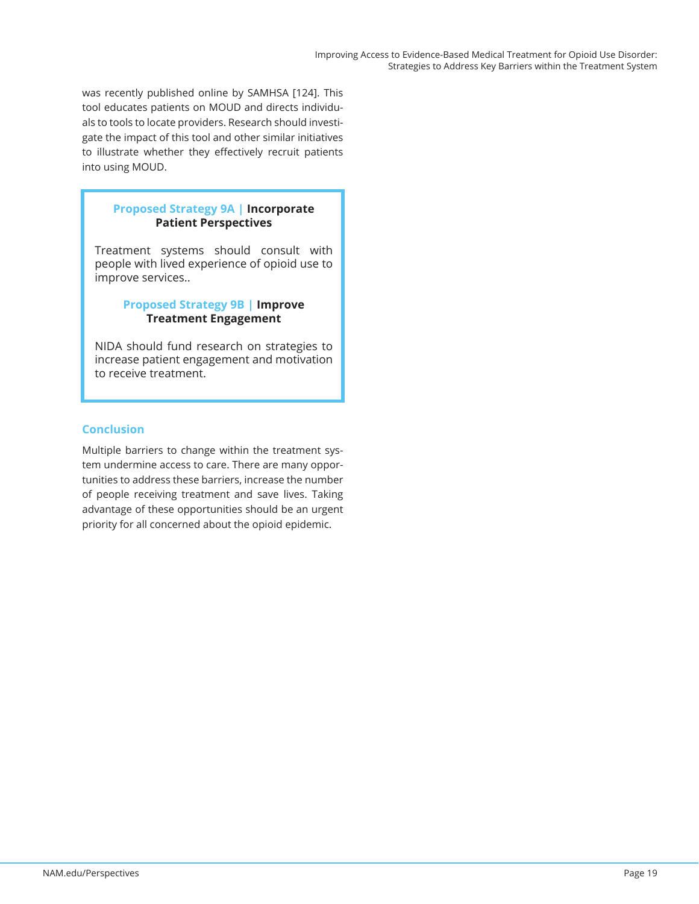was recently published online by SAMHSA [124]. This tool educates patients on MOUD and directs individuals to tools to locate providers. Research should investigate the impact of this tool and other similar initiatives to illustrate whether they effectively recruit patients into using MOUD.

## **Proposed Strategy 9A | Incorporate Patient Perspectives**

Treatment systems should consult with people with lived experience of opioid use to improve services..

## **Proposed Strategy 9B | Improve Treatment Engagement**

NIDA should fund research on strategies to increase patient engagement and motivation to receive treatment.

## **Conclusion**

Multiple barriers to change within the treatment system undermine access to care. There are many opportunities to address these barriers, increase the number of people receiving treatment and save lives. Taking advantage of these opportunities should be an urgent priority for all concerned about the opioid epidemic.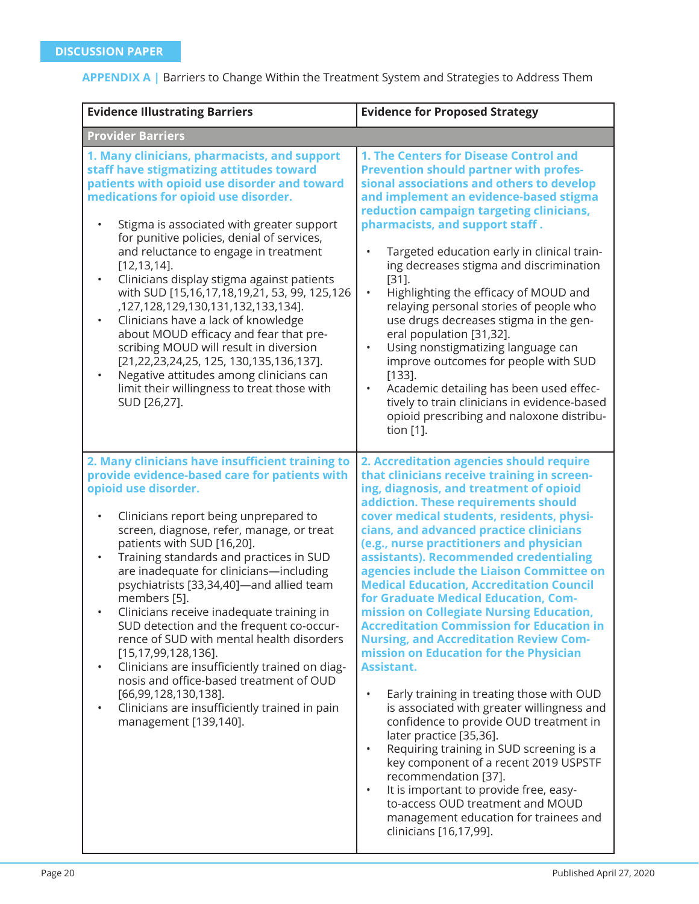|  |  |  |  | <b>APPENDIX A</b>   Barriers to Change Within the Treatment System and Strategies to Address Them |
|--|--|--|--|---------------------------------------------------------------------------------------------------|
|--|--|--|--|---------------------------------------------------------------------------------------------------|

| <b>Evidence Illustrating Barriers</b>                                                                                                                                                                                                                                                                                                                                                                                                                                                                                                                                                                                                                                                                                                                                                               | <b>Evidence for Proposed Strategy</b>                                                                                                                                                                                                                                                                                                                                                                                                                                                                                                                                                                                                                                                                                                                                                                                                                                                                                                                                                                                                                                                                                                          |
|-----------------------------------------------------------------------------------------------------------------------------------------------------------------------------------------------------------------------------------------------------------------------------------------------------------------------------------------------------------------------------------------------------------------------------------------------------------------------------------------------------------------------------------------------------------------------------------------------------------------------------------------------------------------------------------------------------------------------------------------------------------------------------------------------------|------------------------------------------------------------------------------------------------------------------------------------------------------------------------------------------------------------------------------------------------------------------------------------------------------------------------------------------------------------------------------------------------------------------------------------------------------------------------------------------------------------------------------------------------------------------------------------------------------------------------------------------------------------------------------------------------------------------------------------------------------------------------------------------------------------------------------------------------------------------------------------------------------------------------------------------------------------------------------------------------------------------------------------------------------------------------------------------------------------------------------------------------|
| <b>Provider Barriers</b>                                                                                                                                                                                                                                                                                                                                                                                                                                                                                                                                                                                                                                                                                                                                                                            |                                                                                                                                                                                                                                                                                                                                                                                                                                                                                                                                                                                                                                                                                                                                                                                                                                                                                                                                                                                                                                                                                                                                                |
| 1. Many clinicians, pharmacists, and support<br>staff have stigmatizing attitudes toward<br>patients with opioid use disorder and toward<br>medications for opioid use disorder.<br>Stigma is associated with greater support<br>$\bullet$<br>for punitive policies, denial of services,<br>and reluctance to engage in treatment<br>$[12, 13, 14]$ .<br>Clinicians display stigma against patients<br>$\bullet$<br>with SUD [15,16,17,18,19,21, 53, 99, 125,126<br>,127,128,129,130,131,132,133,134].<br>Clinicians have a lack of knowledge<br>about MOUD efficacy and fear that pre-<br>scribing MOUD will result in diversion<br>[21,22,23,24,25, 125, 130,135,136,137].<br>Negative attitudes among clinicians can<br>$\bullet$<br>limit their willingness to treat those with<br>SUD [26,27]. | 1. The Centers for Disease Control and<br><b>Prevention should partner with profes-</b><br>sional associations and others to develop<br>and implement an evidence-based stigma<br>reduction campaign targeting clinicians,<br>pharmacists, and support staff.<br>Targeted education early in clinical train-<br>$\bullet$<br>ing decreases stigma and discrimination<br>$[31]$ .<br>Highlighting the efficacy of MOUD and<br>$\bullet$<br>relaying personal stories of people who<br>use drugs decreases stigma in the gen-<br>eral population [31,32].<br>Using nonstigmatizing language can<br>$\bullet$<br>improve outcomes for people with SUD<br>$[133]$ .<br>Academic detailing has been used effec-<br>$\bullet$<br>tively to train clinicians in evidence-based<br>opioid prescribing and naloxone distribu-<br>tion [1].                                                                                                                                                                                                                                                                                                              |
| 2. Many clinicians have insufficient training to<br>provide evidence-based care for patients with<br>opioid use disorder.<br>Clinicians report being unprepared to<br>screen, diagnose, refer, manage, or treat<br>patients with SUD [16,20].<br>Training standards and practices in SUD<br>$\bullet$<br>are inadequate for clinicians-including<br>psychiatrists [33,34,40]-and allied team<br>members [5].<br>Clinicians receive inadequate training in<br>SUD detection and the frequent co-occur-<br>rence of SUD with mental health disorders<br>$[15, 17, 99, 128, 136]$ .<br>Clinicians are insufficiently trained on diag-<br>nosis and office-based treatment of OUD<br>$[66, 99, 128, 130, 138]$ .<br>Clinicians are insufficiently trained in pain<br>management [139,140].              | 2. Accreditation agencies should require<br>that clinicians receive training in screen-<br>ing, diagnosis, and treatment of opioid<br>addiction. These requirements should<br>cover medical students, residents, physi-<br>cians, and advanced practice clinicians<br>(e.g., nurse practitioners and physician<br>assistants). Recommended credentialing<br>agencies include the Liaison Committee on<br><b>Medical Education, Accreditation Council</b><br>for Graduate Medical Education, Com-<br>mission on Collegiate Nursing Education,<br><b>Accreditation Commission for Education in</b><br><b>Nursing, and Accreditation Review Com-</b><br>mission on Education for the Physician<br><b>Assistant.</b><br>Early training in treating those with OUD<br>is associated with greater willingness and<br>confidence to provide OUD treatment in<br>later practice [35,36].<br>Requiring training in SUD screening is a<br>key component of a recent 2019 USPSTF<br>recommendation [37].<br>It is important to provide free, easy-<br>to-access OUD treatment and MOUD<br>management education for trainees and<br>clinicians [16,17,99]. |

J

 $\mathsf{l}$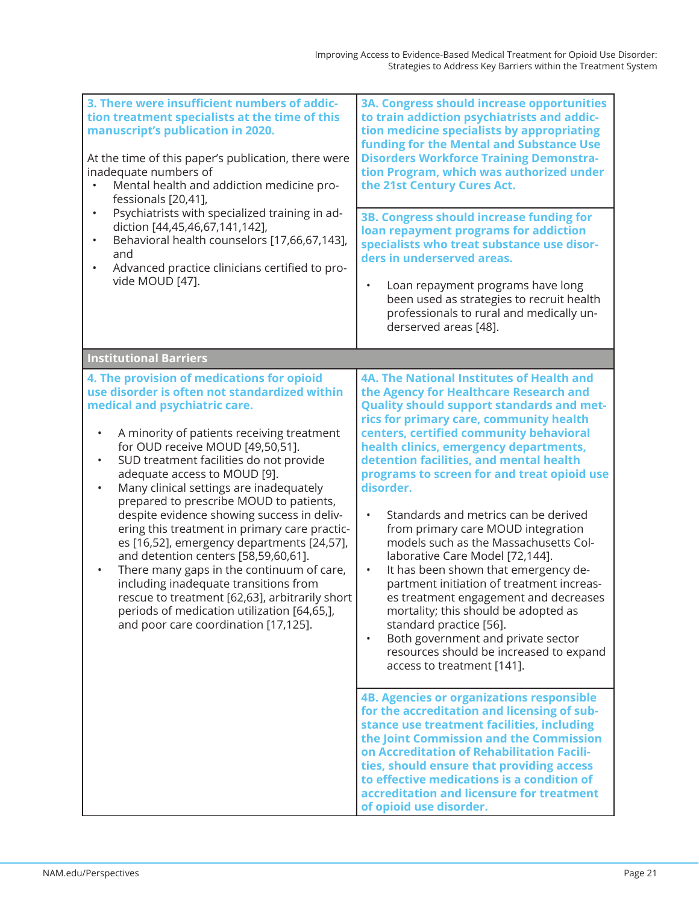| 3. There were insufficient numbers of addic-<br>tion treatment specialists at the time of this<br>manuscript's publication in 2020.<br>At the time of this paper's publication, there were<br>inadequate numbers of<br>Mental health and addiction medicine pro-<br>fessionals [20,41],<br>Psychiatrists with specialized training in ad-<br>$\bullet$<br>diction [44,45,46,67,141,142],<br>Behavioral health counselors [17,66,67,143],<br>$\bullet$<br>and<br>Advanced practice clinicians certified to pro-<br>vide MOUD [47].                                                                                                                                                                                                                                                                                                                       | <b>3A. Congress should increase opportunities</b><br>to train addiction psychiatrists and addic-<br>tion medicine specialists by appropriating<br>funding for the Mental and Substance Use<br><b>Disorders Workforce Training Demonstra-</b><br>tion Program, which was authorized under<br>the 21st Century Cures Act.<br>3B. Congress should increase funding for<br>loan repayment programs for addiction<br>specialists who treat substance use disor-<br>ders in underserved areas.<br>Loan repayment programs have long<br>$\bullet$<br>been used as strategies to recruit health<br>professionals to rural and medically un-<br>derserved areas [48].                                                                                                                                                                                                                                    |
|---------------------------------------------------------------------------------------------------------------------------------------------------------------------------------------------------------------------------------------------------------------------------------------------------------------------------------------------------------------------------------------------------------------------------------------------------------------------------------------------------------------------------------------------------------------------------------------------------------------------------------------------------------------------------------------------------------------------------------------------------------------------------------------------------------------------------------------------------------|-------------------------------------------------------------------------------------------------------------------------------------------------------------------------------------------------------------------------------------------------------------------------------------------------------------------------------------------------------------------------------------------------------------------------------------------------------------------------------------------------------------------------------------------------------------------------------------------------------------------------------------------------------------------------------------------------------------------------------------------------------------------------------------------------------------------------------------------------------------------------------------------------|
| <b>Institutional Barriers</b>                                                                                                                                                                                                                                                                                                                                                                                                                                                                                                                                                                                                                                                                                                                                                                                                                           |                                                                                                                                                                                                                                                                                                                                                                                                                                                                                                                                                                                                                                                                                                                                                                                                                                                                                                 |
| 4. The provision of medications for opioid<br>use disorder is often not standardized within<br>medical and psychiatric care.<br>A minority of patients receiving treatment<br>$\bullet$<br>for OUD receive MOUD [49,50,51].<br>SUD treatment facilities do not provide<br>$\bullet$<br>adequate access to MOUD [9].<br>Many clinical settings are inadequately<br>$\bullet$<br>prepared to prescribe MOUD to patients,<br>despite evidence showing success in deliv-<br>ering this treatment in primary care practic-<br>es [16,52], emergency departments [24,57],<br>and detention centers [58,59,60,61].<br>There many gaps in the continuum of care,<br>$\bullet$<br>including inadequate transitions from<br>rescue to treatment [62,63], arbitrarily short<br>periods of medication utilization [64,65,],<br>and poor care coordination [17,125]. | 4A. The National Institutes of Health and<br>the Agency for Healthcare Research and<br><b>Quality should support standards and met-</b><br>rics for primary care, community health<br>centers, certified community behavioral<br>health clinics, emergency departments,<br>detention facilities, and mental health<br>programs to screen for and treat opioid use<br>disorder.<br>Standards and metrics can be derived<br>$\bullet$<br>from primary care MOUD integration<br>models such as the Massachusetts Col-<br>laborative Care Model [72,144].<br>It has been shown that emergency de-<br>$\bullet$<br>partment initiation of treatment increas-<br>es treatment engagement and decreases<br>mortality; this should be adopted as<br>standard practice [56].<br>Both government and private sector<br>$\bullet$<br>resources should be increased to expand<br>access to treatment [141]. |
|                                                                                                                                                                                                                                                                                                                                                                                                                                                                                                                                                                                                                                                                                                                                                                                                                                                         | <b>4B. Agencies or organizations responsible</b><br>for the accreditation and licensing of sub-<br>stance use treatment facilities, including<br>the Joint Commission and the Commission<br>on Accreditation of Rehabilitation Facili-<br>ties, should ensure that providing access<br>to effective medications is a condition of<br>accreditation and licensure for treatment<br>of opioid use disorder.                                                                                                                                                                                                                                                                                                                                                                                                                                                                                       |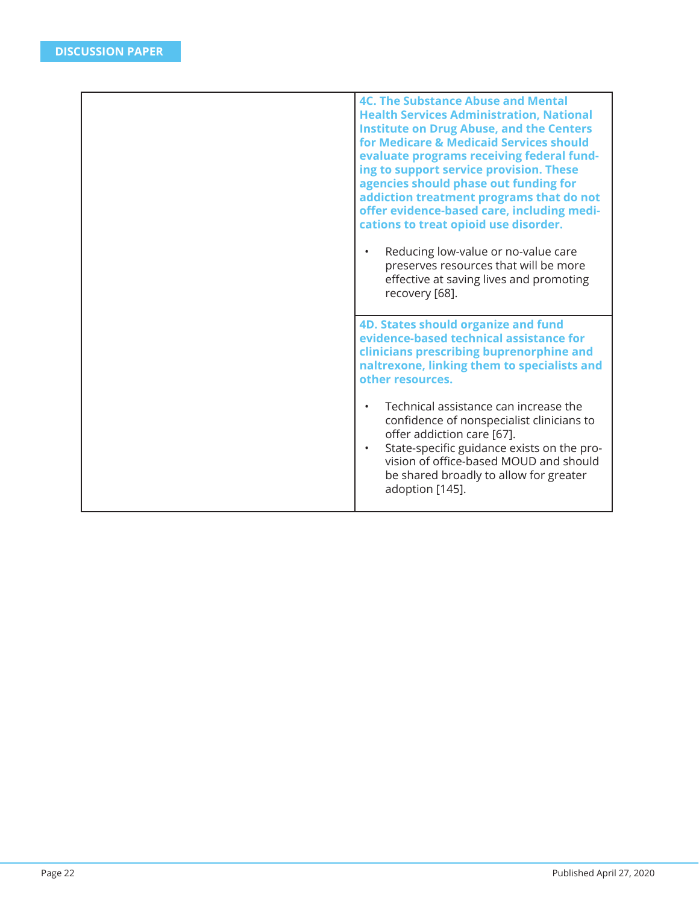| <b>4C. The Substance Abuse and Mental</b><br><b>Health Services Administration, National</b><br><b>Institute on Drug Abuse, and the Centers</b><br>for Medicare & Medicaid Services should<br>evaluate programs receiving federal fund-<br>ing to support service provision. These<br>agencies should phase out funding for<br>addiction treatment programs that do not<br>offer evidence-based care, including medi-<br>cations to treat opioid use disorder.<br>Reducing low-value or no-value care<br>$\bullet$<br>preserves resources that will be more<br>effective at saving lives and promoting<br>recovery [68]. |
|--------------------------------------------------------------------------------------------------------------------------------------------------------------------------------------------------------------------------------------------------------------------------------------------------------------------------------------------------------------------------------------------------------------------------------------------------------------------------------------------------------------------------------------------------------------------------------------------------------------------------|
| <b>4D. States should organize and fund</b><br>evidence-based technical assistance for<br>clinicians prescribing buprenorphine and<br>naltrexone, linking them to specialists and<br>other resources.                                                                                                                                                                                                                                                                                                                                                                                                                     |
| Technical assistance can increase the<br>$\bullet$<br>confidence of nonspecialist clinicians to<br>offer addiction care [67].<br>State-specific guidance exists on the pro-<br>$\bullet$<br>vision of office-based MOUD and should<br>be shared broadly to allow for greater<br>adoption [145].                                                                                                                                                                                                                                                                                                                          |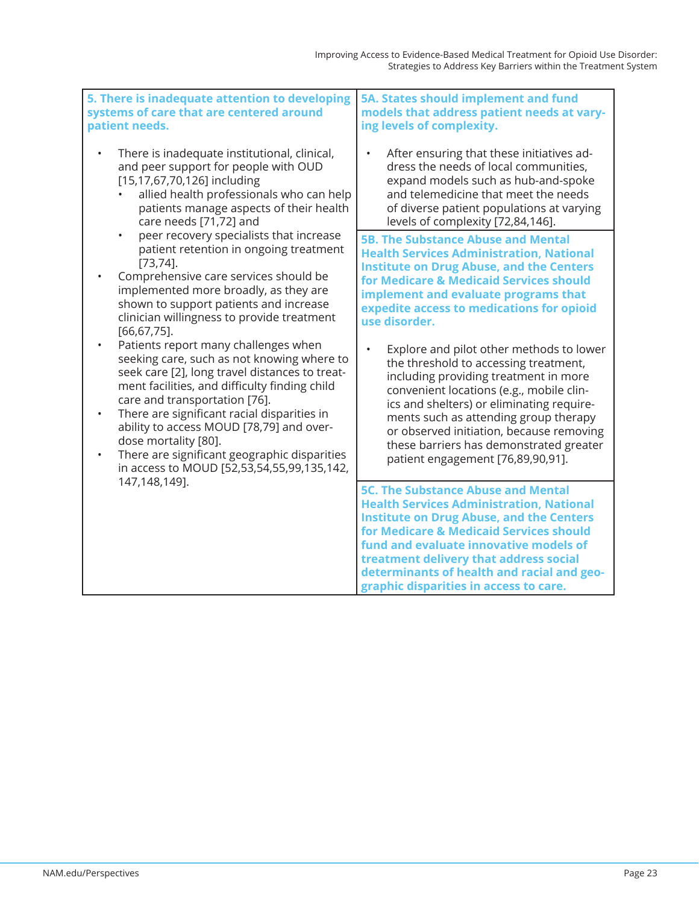| 5. There is inadequate attention to developing<br>systems of care that are centered around<br>patient needs.                                                                                                                                                                                                                                                                                                                                                                                                                                                                                                                                                                                                                                                                                                                                                                                                                                      | 5A. States should implement and fund<br>models that address patient needs at vary-<br>ing levels of complexity.                                                                                                                                                                                                                                                                                                                                                                                                                                                                                                                                                                                           |
|---------------------------------------------------------------------------------------------------------------------------------------------------------------------------------------------------------------------------------------------------------------------------------------------------------------------------------------------------------------------------------------------------------------------------------------------------------------------------------------------------------------------------------------------------------------------------------------------------------------------------------------------------------------------------------------------------------------------------------------------------------------------------------------------------------------------------------------------------------------------------------------------------------------------------------------------------|-----------------------------------------------------------------------------------------------------------------------------------------------------------------------------------------------------------------------------------------------------------------------------------------------------------------------------------------------------------------------------------------------------------------------------------------------------------------------------------------------------------------------------------------------------------------------------------------------------------------------------------------------------------------------------------------------------------|
| There is inadequate institutional, clinical,<br>and peer support for people with OUD<br>[15,17,67,70,126] including<br>allied health professionals who can help<br>patients manage aspects of their health<br>care needs [71,72] and<br>peer recovery specialists that increase<br>$\bullet$<br>patient retention in ongoing treatment<br>$[73, 74]$ .<br>Comprehensive care services should be<br>implemented more broadly, as they are<br>shown to support patients and increase<br>clinician willingness to provide treatment<br>$[66, 67, 75]$ .<br>Patients report many challenges when<br>seeking care, such as not knowing where to<br>seek care [2], long travel distances to treat-<br>ment facilities, and difficulty finding child<br>care and transportation [76].<br>There are significant racial disparities in<br>ability to access MOUD [78,79] and over-<br>dose mortality [80].<br>There are significant geographic disparities | After ensuring that these initiatives ad-<br>dress the needs of local communities,<br>expand models such as hub-and-spoke<br>and telemedicine that meet the needs<br>of diverse patient populations at varying<br>levels of complexity [72,84,146].                                                                                                                                                                                                                                                                                                                                                                                                                                                       |
|                                                                                                                                                                                                                                                                                                                                                                                                                                                                                                                                                                                                                                                                                                                                                                                                                                                                                                                                                   | <b>5B. The Substance Abuse and Mental</b><br><b>Health Services Administration, National</b><br><b>Institute on Drug Abuse, and the Centers</b><br>for Medicare & Medicaid Services should<br>implement and evaluate programs that<br>expedite access to medications for opioid<br>use disorder.<br>Explore and pilot other methods to lower<br>$\bullet$<br>the threshold to accessing treatment,<br>including providing treatment in more<br>convenient locations (e.g., mobile clin-<br>ics and shelters) or eliminating require-<br>ments such as attending group therapy<br>or observed initiation, because removing<br>these barriers has demonstrated greater<br>patient engagement [76,89,90,91]. |
| 147,148,149].                                                                                                                                                                                                                                                                                                                                                                                                                                                                                                                                                                                                                                                                                                                                                                                                                                                                                                                                     | <b>5C. The Substance Abuse and Mental</b><br><b>Health Services Administration, National</b><br><b>Institute on Drug Abuse, and the Centers</b><br>for Medicare & Medicaid Services should<br>fund and evaluate innovative models of<br>treatment delivery that address social<br>determinants of health and racial and geo-<br>graphic disparities in access to care.                                                                                                                                                                                                                                                                                                                                    |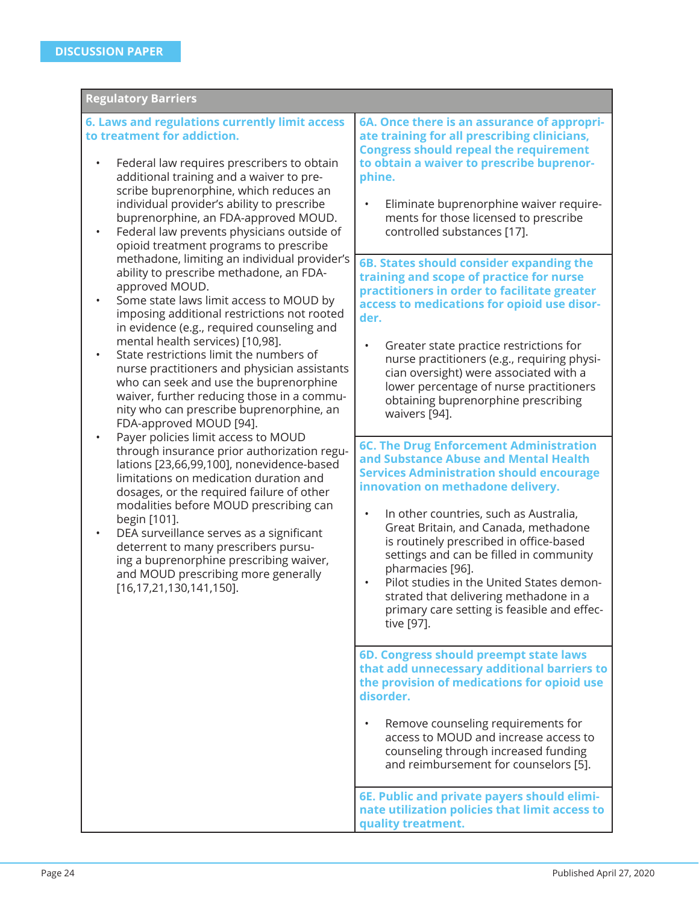| <b>Regulatory Barriers</b>                                                                                                                                                                                                                                                                                                                                                                                                                                                                                                                                                                                                                                                                                                                                                                                                                                                                                                                                                                                                                                                                                                                                                                                                                                                                                                                                                                                                                                       |                                                                                                                                                                                                                                                                                                                                                                                                                                                                                                                                                                                                                                                                                                                                                                                                                                                                                                                                                                                                                                                                                                                                                                                                                                                                                                                                                                                                                                                                                                                                                                                                                                                                                               |  |  |
|------------------------------------------------------------------------------------------------------------------------------------------------------------------------------------------------------------------------------------------------------------------------------------------------------------------------------------------------------------------------------------------------------------------------------------------------------------------------------------------------------------------------------------------------------------------------------------------------------------------------------------------------------------------------------------------------------------------------------------------------------------------------------------------------------------------------------------------------------------------------------------------------------------------------------------------------------------------------------------------------------------------------------------------------------------------------------------------------------------------------------------------------------------------------------------------------------------------------------------------------------------------------------------------------------------------------------------------------------------------------------------------------------------------------------------------------------------------|-----------------------------------------------------------------------------------------------------------------------------------------------------------------------------------------------------------------------------------------------------------------------------------------------------------------------------------------------------------------------------------------------------------------------------------------------------------------------------------------------------------------------------------------------------------------------------------------------------------------------------------------------------------------------------------------------------------------------------------------------------------------------------------------------------------------------------------------------------------------------------------------------------------------------------------------------------------------------------------------------------------------------------------------------------------------------------------------------------------------------------------------------------------------------------------------------------------------------------------------------------------------------------------------------------------------------------------------------------------------------------------------------------------------------------------------------------------------------------------------------------------------------------------------------------------------------------------------------------------------------------------------------------------------------------------------------|--|--|
| 6. Laws and regulations currently limit access<br>to treatment for addiction.<br>Federal law requires prescribers to obtain<br>additional training and a waiver to pre-<br>scribe buprenorphine, which reduces an<br>individual provider's ability to prescribe<br>buprenorphine, an FDA-approved MOUD.<br>Federal law prevents physicians outside of<br>٠<br>opioid treatment programs to prescribe<br>methadone, limiting an individual provider's<br>ability to prescribe methadone, an FDA-<br>approved MOUD.<br>Some state laws limit access to MOUD by<br>٠<br>imposing additional restrictions not rooted<br>in evidence (e.g., required counseling and<br>mental health services) [10,98].<br>State restrictions limit the numbers of<br>٠<br>nurse practitioners and physician assistants<br>who can seek and use the buprenorphine<br>waiver, further reducing those in a commu-<br>nity who can prescribe buprenorphine, an<br>FDA-approved MOUD [94].<br>Payer policies limit access to MOUD<br>through insurance prior authorization regu-<br>lations [23,66,99,100], nonevidence-based<br>limitations on medication duration and<br>dosages, or the required failure of other<br>modalities before MOUD prescribing can<br>begin [101].<br>DEA surveillance serves as a significant<br>٠<br>deterrent to many prescribers pursu-<br>ing a buprenorphine prescribing waiver,<br>and MOUD prescribing more generally<br>[16, 17, 21, 130, 141, 150]. | 6A. Once there is an assurance of appropri-<br>ate training for all prescribing clinicians,<br><b>Congress should repeal the requirement</b><br>to obtain a waiver to prescribe buprenor-<br>phine.<br>Eliminate buprenorphine waiver require-<br>$\bullet$<br>ments for those licensed to prescribe<br>controlled substances [17].<br>6B. States should consider expanding the<br>training and scope of practice for nurse<br>practitioners in order to facilitate greater<br>access to medications for opioid use disor-<br>der.<br>Greater state practice restrictions for<br>nurse practitioners (e.g., requiring physi-<br>cian oversight) were associated with a<br>lower percentage of nurse practitioners<br>obtaining buprenorphine prescribing<br>waivers [94].<br><b>6C. The Drug Enforcement Administration</b><br>and Substance Abuse and Mental Health<br><b>Services Administration should encourage</b><br>innovation on methadone delivery.<br>In other countries, such as Australia,<br>$\bullet$<br>Great Britain, and Canada, methadone<br>is routinely prescribed in office-based<br>settings and can be filled in community<br>pharmacies [96].<br>Pilot studies in the United States demon-<br>strated that delivering methadone in a<br>primary care setting is feasible and effec-<br>tive [97].<br>6D. Congress should preempt state laws<br>that add unnecessary additional barriers to<br>the provision of medications for opioid use<br>disorder.<br>Remove counseling requirements for<br>access to MOUD and increase access to<br>counseling through increased funding<br>and reimbursement for counselors [5].<br>6E. Public and private payers should elimi- |  |  |
|                                                                                                                                                                                                                                                                                                                                                                                                                                                                                                                                                                                                                                                                                                                                                                                                                                                                                                                                                                                                                                                                                                                                                                                                                                                                                                                                                                                                                                                                  | nate utilization policies that limit access to<br>quality treatment.                                                                                                                                                                                                                                                                                                                                                                                                                                                                                                                                                                                                                                                                                                                                                                                                                                                                                                                                                                                                                                                                                                                                                                                                                                                                                                                                                                                                                                                                                                                                                                                                                          |  |  |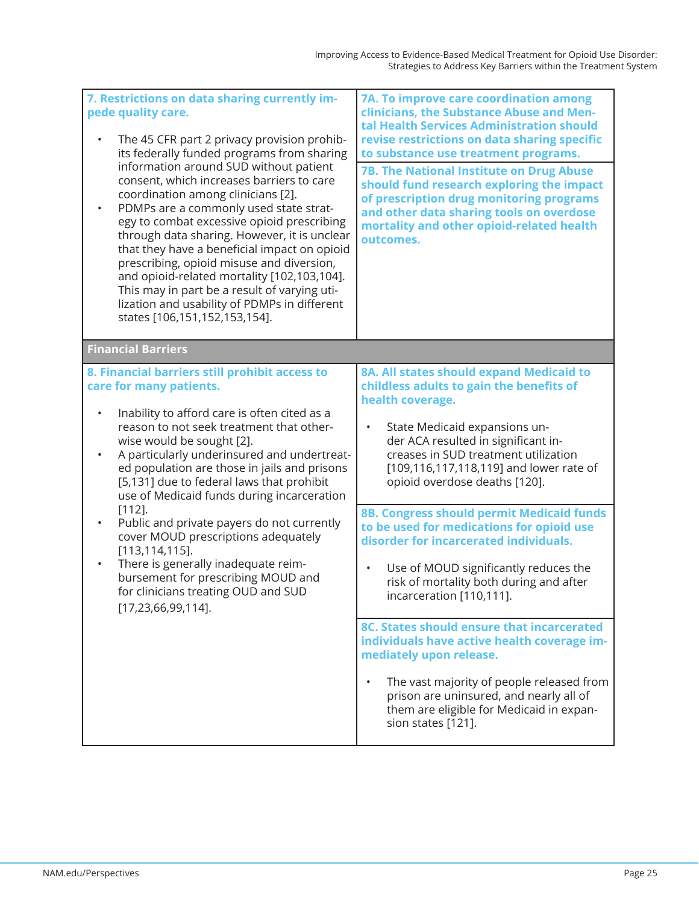| 7. Restrictions on data sharing currently im-<br>pede quality care.<br>The 45 CFR part 2 privacy provision prohib-<br>$\bullet$<br>its federally funded programs from sharing<br>information around SUD without patient<br>consent, which increases barriers to care<br>coordination among clinicians [2].<br>PDMPs are a commonly used state strat-<br>$\bullet$<br>egy to combat excessive opioid prescribing<br>through data sharing. However, it is unclear<br>that they have a beneficial impact on opioid<br>prescribing, opioid misuse and diversion,<br>and opioid-related mortality [102,103,104].<br>This may in part be a result of varying uti-<br>lization and usability of PDMPs in different<br>states [106,151,152,153,154]. | 7A. To improve care coordination among<br>clinicians, the Substance Abuse and Men-<br>tal Health Services Administration should<br>revise restrictions on data sharing specific<br>to substance use treatment programs.<br><b>7B. The National Institute on Drug Abuse</b><br>should fund research exploring the impact<br>of prescription drug monitoring programs<br>and other data sharing tools on overdose<br>mortality and other opioid-related health<br>outcomes.                                                                                                                                                                                                                                                                                                                                                                                            |
|----------------------------------------------------------------------------------------------------------------------------------------------------------------------------------------------------------------------------------------------------------------------------------------------------------------------------------------------------------------------------------------------------------------------------------------------------------------------------------------------------------------------------------------------------------------------------------------------------------------------------------------------------------------------------------------------------------------------------------------------|----------------------------------------------------------------------------------------------------------------------------------------------------------------------------------------------------------------------------------------------------------------------------------------------------------------------------------------------------------------------------------------------------------------------------------------------------------------------------------------------------------------------------------------------------------------------------------------------------------------------------------------------------------------------------------------------------------------------------------------------------------------------------------------------------------------------------------------------------------------------|
| <b>Financial Barriers</b>                                                                                                                                                                                                                                                                                                                                                                                                                                                                                                                                                                                                                                                                                                                    |                                                                                                                                                                                                                                                                                                                                                                                                                                                                                                                                                                                                                                                                                                                                                                                                                                                                      |
| 8. Financial barriers still prohibit access to<br>care for many patients.<br>Inability to afford care is often cited as a<br>$\bullet$<br>reason to not seek treatment that other-<br>wise would be sought [2].<br>A particularly underinsured and undertreat-<br>$\bullet$<br>ed population are those in jails and prisons<br>[5,131] due to federal laws that prohibit<br>use of Medicaid funds during incarceration<br>$[112]$ .<br>Public and private payers do not currently<br>$\bullet$<br>cover MOUD prescriptions adequately<br>$[113, 114, 115]$ .<br>There is generally inadequate reim-<br>$\bullet$<br>bursement for prescribing MOUD and<br>for clinicians treating OUD and SUD<br>$[17, 23, 66, 99, 114]$ .                   | 8A. All states should expand Medicaid to<br>childless adults to gain the benefits of<br>health coverage.<br>State Medicaid expansions un-<br>$\bullet$<br>der ACA resulted in significant in-<br>creases in SUD treatment utilization<br>[109,116,117,118,119] and lower rate of<br>opioid overdose deaths [120].<br>8B. Congress should permit Medicaid funds<br>to be used for medications for opioid use<br>disorder for incarcerated individuals.<br>Use of MOUD significantly reduces the<br>$\bullet$<br>risk of mortality both during and after<br>incarceration [110,111].<br>8C. States should ensure that incarcerated<br>individuals have active health coverage im-<br>mediately upon release.<br>The vast majority of people released from<br>prison are uninsured, and nearly all of<br>them are eligible for Medicaid in expan-<br>sion states [121]. |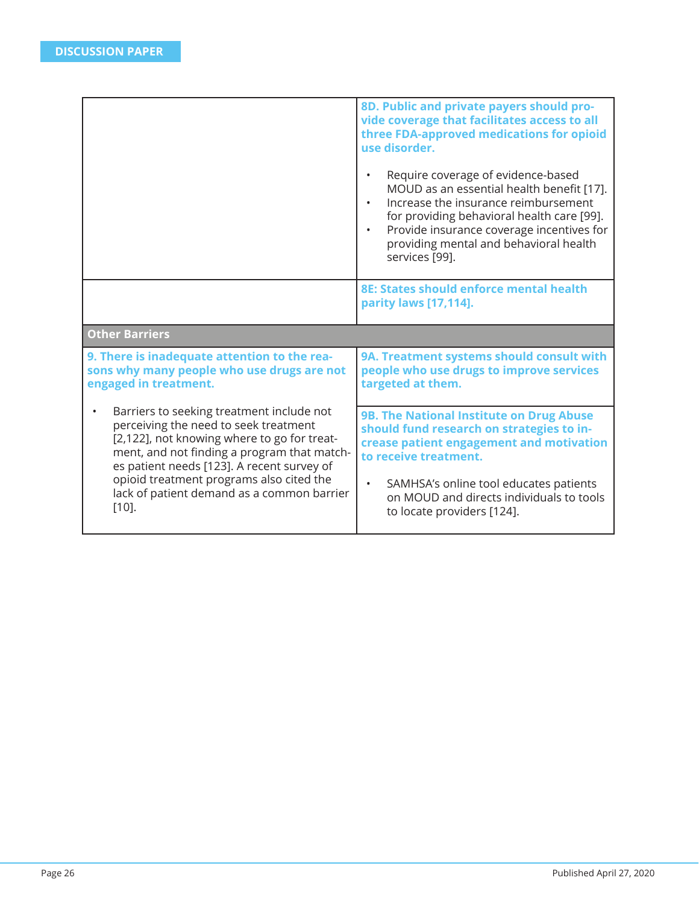|                                                                                                                                                                                                                                | 8D. Public and private payers should pro-<br>vide coverage that facilitates access to all<br>three FDA-approved medications for opioid<br>use disorder.<br>Require coverage of evidence-based<br>MOUD as an essential health benefit [17].<br>Increase the insurance reimbursement<br>for providing behavioral health care [99].<br>Provide insurance coverage incentives for<br>$\bullet$<br>providing mental and behavioral health<br>services [99]. |
|--------------------------------------------------------------------------------------------------------------------------------------------------------------------------------------------------------------------------------|--------------------------------------------------------------------------------------------------------------------------------------------------------------------------------------------------------------------------------------------------------------------------------------------------------------------------------------------------------------------------------------------------------------------------------------------------------|
|                                                                                                                                                                                                                                | 8E: States should enforce mental health<br>parity laws [17,114].                                                                                                                                                                                                                                                                                                                                                                                       |
| <b>Other Barriers</b>                                                                                                                                                                                                          |                                                                                                                                                                                                                                                                                                                                                                                                                                                        |
| 9. There is inadequate attention to the rea-<br>sons why many people who use drugs are not<br>engaged in treatment.                                                                                                            | 9A. Treatment systems should consult with<br>people who use drugs to improve services<br>targeted at them.                                                                                                                                                                                                                                                                                                                                             |
| Barriers to seeking treatment include not<br>perceiving the need to seek treatment<br>[2,122], not knowing where to go for treat-<br>ment, and not finding a program that match-<br>es patient needs [123]. A recent survey of | 9B. The National Institute on Drug Abuse<br>should fund research on strategies to in-<br>crease patient engagement and motivation<br>to receive treatment.                                                                                                                                                                                                                                                                                             |
| opioid treatment programs also cited the<br>lack of patient demand as a common barrier<br>$[10]$ .                                                                                                                             | SAMHSA's online tool educates patients<br>$\bullet$<br>on MOUD and directs individuals to tools<br>to locate providers [124].                                                                                                                                                                                                                                                                                                                          |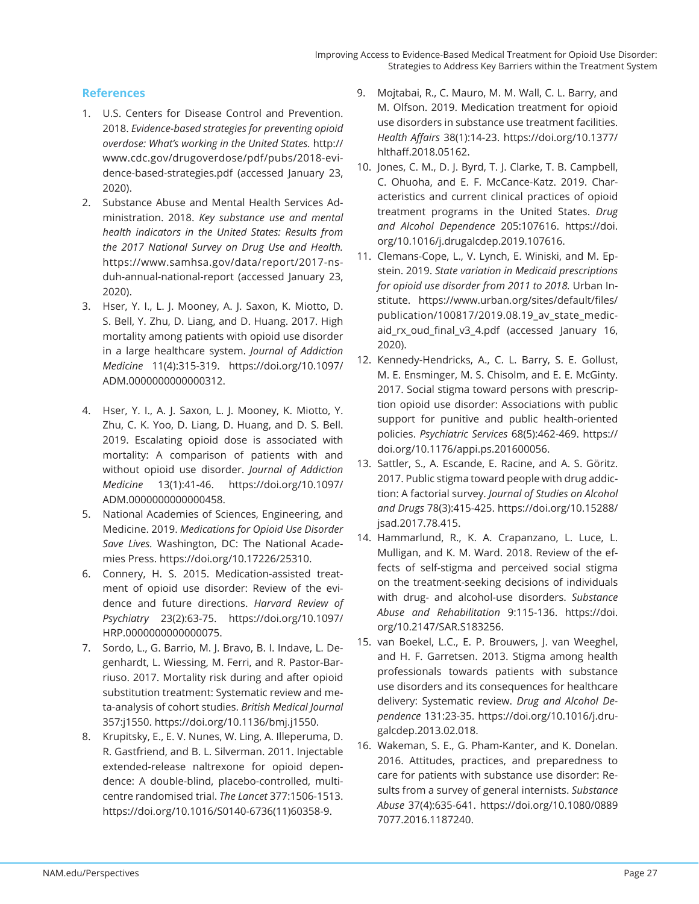## **References**

- 1. U.S. Centers for Disease Control and Prevention. 2018. *Evidence-based strategies for preventing opioid overdose: What's working in the United States.* http:// www.cdc.gov/drugoverdose/pdf/pubs/2018-evidence-based-strategies.pdf (accessed January 23, 2020).
- 2. Substance Abuse and Mental Health Services Administration. 2018. *Key substance use and mental health indicators in the United States: Results from the 2017 National Survey on Drug Use and Health.*  https://www.samhsa.gov/data/report/2017-nsduh-annual-national-report (accessed January 23, 2020).
- 3. Hser, Y. I., L. J. Mooney, A. J. Saxon, K. Miotto, D. S. Bell, Y. Zhu, D. Liang, and D. Huang. 2017. High mortality among patients with opioid use disorder in a large healthcare system. *Journal of Addiction Medicine* 11(4):315-319. https://doi.org/10.1097/ ADM.0000000000000312.
- 4. Hser, Y. I., A. J. Saxon, L. J. Mooney, K. Miotto, Y. Zhu, C. K. Yoo, D. Liang, D. Huang, and D. S. Bell. 2019. Escalating opioid dose is associated with mortality: A comparison of patients with and without opioid use disorder. *Journal of Addiction Medicine* 13(1):41-46. https://doi.org/10.1097/ ADM.0000000000000458.
- 5. National Academies of Sciences, Engineering, and Medicine. 2019. *Medications for Opioid Use Disorder Save Lives.* Washington, DC: The National Academies Press. https://doi.org/10.17226/25310.
- 6. Connery, H. S. 2015. Medication-assisted treatment of opioid use disorder: Review of the evidence and future directions. *Harvard Review of Psychiatry* 23(2):63-75. https://doi.org/10.1097/ HRP.0000000000000075.
- 7. Sordo, L., G. Barrio, M. J. Bravo, B. I. Indave, L. Degenhardt, L. Wiessing, M. Ferri, and R. Pastor-Barriuso. 2017. Mortality risk during and after opioid substitution treatment: Systematic review and meta-analysis of cohort studies. *British Medical Journal* 357:j1550. https://doi.org/10.1136/bmj.j1550.
- 8. Krupitsky, E., E. V. Nunes, W. Ling, A. Illeperuma, D. R. Gastfriend, and B. L. Silverman. 2011. Injectable extended-release naltrexone for opioid dependence: A double-blind, placebo-controlled, multicentre randomised trial. *The Lancet* 377:1506-1513. https://doi.org/10.1016/S0140-6736(11)60358-9.
- 9. Mojtabai, R., C. Mauro, M. M. Wall, C. L. Barry, and M. Olfson. 2019. Medication treatment for opioid use disorders in substance use treatment facilities. *Health Aff airs* 38(1):14-23. https://doi.org/10.1377/ hlthaff.2018.05162.
- 10. Jones, C. M., D. J. Byrd, T. J. Clarke, T. B. Campbell, C. Ohuoha, and E. F. McCance-Katz. 2019. Characteristics and current clinical practices of opioid treatment programs in the United States. *Drug and Alcohol Dependence* 205:107616. https://doi. org/10.1016/j.drugalcdep.2019.107616.
- 11. Clemans-Cope, L., V. Lynch, E. Winiski, and M. Epstein. 2019. *State variation in Medicaid prescriptions for opioid use disorder from 2011 to 2018.* Urban Institute. https://www.urban.org/sites/default/files/ publication/100817/2019.08.19 av state medicaid\_rx\_oud\_final\_v3\_4.pdf (accessed January 16, 2020).
- 12. Kennedy-Hendricks, A., C. L. Barry, S. E. Gollust, M. E. Ensminger, M. S. Chisolm, and E. E. McGinty. 2017. Social stigma toward persons with prescription opioid use disorder: Associations with public support for punitive and public health-oriented policies. *Psychiatric Services* 68(5):462-469. https:// doi.org/10.1176/appi.ps.201600056.
- 13. Sattler, S., A. Escande, E. Racine, and A. S. Göritz. 2017. Public stigma toward people with drug addiction: A factorial survey. *Journal of Studies on Alcohol and Drugs* 78(3):415-425. https://doi.org/10.15288/ jsad.2017.78.415.
- 14. Hammarlund, R., K. A. Crapanzano, L. Luce, L. Mulligan, and K. M. Ward. 2018. Review of the effects of self-stigma and perceived social stigma on the treatment-seeking decisions of individuals with drug- and alcohol-use disorders. *Substance Abuse and Rehabilitation* 9:115-136. https://doi. org/10.2147/SAR.S183256.
- 15. van Boekel, L.C., E. P. Brouwers, J. van Weeghel, and H. F. Garretsen. 2013. Stigma among health professionals towards patients with substance use disorders and its consequences for healthcare delivery: Systematic review. *Drug and Alcohol Dependence* 131:23-35. https://doi.org/10.1016/j.drugalcdep.2013.02.018.
- 16. Wakeman, S. E., G. Pham-Kanter, and K. Donelan. 2016. Attitudes, practices, and preparedness to care for patients with substance use disorder: Results from a survey of general internists. *Substance Abuse* 37(4):635-641. https://doi.org/10.1080/0889 7077.2016.1187240.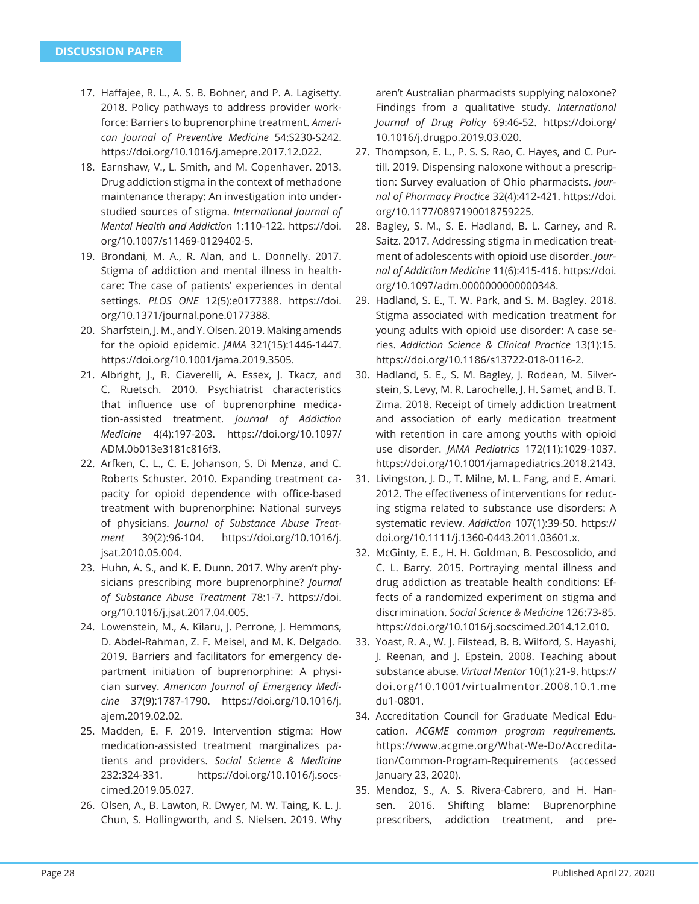- 17. Haffajee, R. L., A. S. B. Bohner, and P. A. Lagisetty. 2018. Policy pathways to address provider workforce: Barriers to buprenorphine treatment. *American Journal of Preventive Medicine* 54:S230-S242. https://doi.org/10.1016/j.amepre.2017.12.022.
- 18. Earnshaw, V., L. Smith, and M. Copenhaver. 2013. Drug addiction stigma in the context of methadone maintenance therapy: An investigation into understudied sources of stigma. *International Journal of Mental Health and Addiction* 1:110-122. https://doi. org/10.1007/s11469-0129402-5.
- 19. Brondani, M. A., R. Alan, and L. Donnelly. 2017. Stigma of addiction and mental illness in healthcare: The case of patients' experiences in dental settings. *PLOS ONE* 12(5):e0177388. https://doi. org/10.1371/journal.pone.0177388.
- 20. Sharfstein, J. M., and Y. Olsen. 2019. Making amends for the opioid epidemic. *JAMA* 321(15):1446-1447. https://doi.org/10.1001/jama.2019.3505.
- 21. Albright, J., R. Ciaverelli, A. Essex, J. Tkacz, and C. Ruetsch. 2010. Psychiatrist characteristics that influence use of buprenorphine medication-assisted treatment. *Journal of Addiction Medicine* 4(4):197-203. https://doi.org/10.1097/ ADM.0b013e3181c816f3.
- 22. Arfken, C. L., C. E. Johanson, S. Di Menza, and C. Roberts Schuster. 2010. Expanding treatment capacity for opioid dependence with office-based treatment with buprenorphine: National surveys of physicians. *Journal of Substance Abuse Treatment* 39(2):96-104. https://doi.org/10.1016/j. jsat.2010.05.004.
- 23. Huhn, A. S., and K. E. Dunn. 2017. Why aren't physicians prescribing more buprenorphine? *Journal of Substance Abuse Treatment* 78:1-7. https://doi. org/10.1016/j.jsat.2017.04.005.
- 24. Lowenstein, M., A. Kilaru, J. Perrone, J. Hemmons, D. Abdel-Rahman, Z. F. Meisel, and M. K. Delgado. 2019. Barriers and facilitators for emergency department initiation of buprenorphine: A physician survey. *American Journal of Emergency Medicine* 37(9):1787-1790. https://doi.org/10.1016/j. ajem.2019.02.02.
- 25. Madden, E. F. 2019. Intervention stigma: How medication-assisted treatment marginalizes patients and providers. *Social Science & Medicine* 232:324-331. https://doi.org/10.1016/j.socscimed.2019.05.027.
- 26. Olsen, A., B. Lawton, R. Dwyer, M. W. Taing, K. L. J. Chun, S. Hollingworth, and S. Nielsen. 2019. Why

aren't Australian pharmacists supplying naloxone? Findings from a qualitative study. *International Journal of Drug Policy* 69:46-52. https://doi.org/ 10.1016/j.drugpo.2019.03.020.

- 27. Thompson, E. L., P. S. S. Rao, C. Hayes, and C. Purtill. 2019. Dispensing naloxone without a prescription: Survey evaluation of Ohio pharmacists. *Journal of Pharmacy Practice* 32(4):412-421. https://doi. org/10.1177/0897190018759225.
- 28. Bagley, S. M., S. E. Hadland, B. L. Carney, and R. Saitz. 2017. Addressing stigma in medication treatment of adolescents with opioid use disorder. *Journal of Addiction Medicine* 11(6):415-416. https://doi. org/10.1097/adm.0000000000000348.
- 29. Hadland, S. E., T. W. Park, and S. M. Bagley. 2018. Stigma associated with medication treatment for young adults with opioid use disorder: A case series. *Addiction Science & Clinical Practice* 13(1):15. https://doi.org/10.1186/s13722-018-0116-2.
- 30. Hadland, S. E., S. M. Bagley, J. Rodean, M. Silverstein, S. Levy, M. R. Larochelle, J. H. Samet, and B. T. Zima. 2018. Receipt of timely addiction treatment and association of early medication treatment with retention in care among youths with opioid use disorder. *JAMA Pediatrics* 172(11):1029-1037. https://doi.org/10.1001/jamapediatrics.2018.2143.
- 31. Livingston, J. D., T. Milne, M. L. Fang, and E. Amari. 2012. The effectiveness of interventions for reducing stigma related to substance use disorders: A systematic review. *Addiction* 107(1):39-50. https:// doi.org/10.1111/j.1360-0443.2011.03601.x.
- 32. McGinty, E. E., H. H. Goldman, B. Pescosolido, and C. L. Barry. 2015. Portraying mental illness and drug addiction as treatable health conditions: Effects of a randomized experiment on stigma and discrimination. *Social Science & Medicine* 126:73-85. https://doi.org/10.1016/j.socscimed.2014.12.010.
- 33. Yoast, R. A., W. J. Filstead, B. B. Wilford, S. Hayashi, J. Reenan, and J. Epstein. 2008. Teaching about substance abuse. *Virtual Mentor* 10(1):21-9. https:// doi.org/10.1001/virtualmentor.2008.10.1.me du1-0801.
- 34. Accreditation Council for Graduate Medical Education. *ACGME common program requirements.* https://www.acgme.org/What-We-Do/Accreditation/Common-Program-Requirements (accessed January 23, 2020).
- 35. Mendoz, S., A. S. Rivera-Cabrero, and H. Hansen. 2016. Shifting blame: Buprenorphine prescribers, addiction treatment, and pre-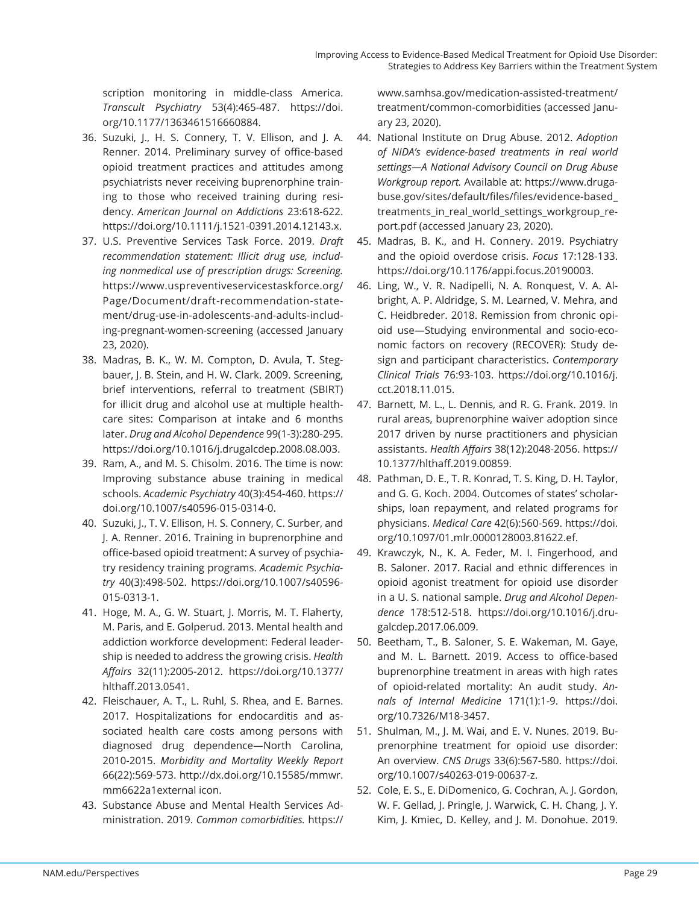scription monitoring in middle-class America. *Transcult Psychiatry* 53(4):465-487. https://doi. org/10.1177/1363461516660884.

- 36. Suzuki, J., H. S. Connery, T. V. Ellison, and J. A. Renner. 2014. Preliminary survey of office-based opioid treatment practices and attitudes among psychiatrists never receiving buprenorphine training to those who received training during residency. *American Journal on Addictions* 23:618-622. https://doi.org/10.1111/j.1521-0391.2014.12143.x.
- 37. U.S. Preventive Services Task Force. 2019. *Draft recommendation statement: Illicit drug use, including nonmedical use of prescription drugs: Screening.*  https://www.uspreventiveservicestaskforce.org/ Page/Document/draft-recommendation-statement/drug-use-in-adolescents-and-adults-including-pregnant-women-screening (accessed January 23, 2020).
- 38. Madras, B. K., W. M. Compton, D. Avula, T. Stegbauer, J. B. Stein, and H. W. Clark. 2009. Screening, brief interventions, referral to treatment (SBIRT) for illicit drug and alcohol use at multiple healthcare sites: Comparison at intake and 6 months later. *Drug and Alcohol Dependence* 99(1-3):280-295. https://doi.org/10.1016/j.drugalcdep.2008.08.003.
- 39. Ram, A., and M. S. Chisolm. 2016. The time is now: Improving substance abuse training in medical schools. *Academic Psychiatry* 40(3):454-460. https:// doi.org/10.1007/s40596-015-0314-0.
- 40. Suzuki, J., T. V. Ellison, H. S. Connery, C. Surber, and J. A. Renner. 2016. Training in buprenorphine and office-based opioid treatment: A survey of psychiatry residency training programs. *Academic Psychiatry* 40(3):498-502. https://doi.org/10.1007/s40596- 015-0313-1.
- 41. Hoge, M. A., G. W. Stuart, J. Morris, M. T. Flaherty, M. Paris, and E. Golperud. 2013. Mental health and addiction workforce development: Federal leadership is needed to address the growing crisis. *Health Aff airs* 32(11):2005-2012. https://doi.org/10.1377/ hlthaff .2013.0541.
- 42. Fleischauer, A. T., L. Ruhl, S. Rhea, and E. Barnes. 2017. Hospitalizations for endocarditis and associated health care costs among persons with diagnosed drug dependence—North Carolina, 2010-2015. *Morbidity and Mortality Weekly Report* 66(22):569-573. http://dx.doi.org/10.15585/mmwr. mm6622a1external icon.
- 43. Substance Abuse and Mental Health Services Administration. 2019. *Common comorbidities.* https://

www.samhsa.gov/medication-assisted-treatment/ treatment/common-comorbidities (accessed January 23, 2020).

- 44. National Institute on Drug Abuse. 2012. *Adoption of NIDA's evidence-based treatments in real world settings—A National Advisory Council on Drug Abuse Workgroup report.* Available at: https://www.drugabuse.gov/sites/default/files/files/evidence-based\_ treatments\_in\_real\_world\_settings\_workgroup\_report.pdf (accessed January 23, 2020).
- 45. Madras, B. K., and H. Connery. 2019. Psychiatry and the opioid overdose crisis. *Focus* 17:128-133. https://doi.org/10.1176/appi.focus.20190003.
- 46. Ling, W., V. R. Nadipelli, N. A. Ronquest, V. A. Albright, A. P. Aldridge, S. M. Learned, V. Mehra, and C. Heidbreder. 2018. Remission from chronic opioid use—Studying environmental and socio-economic factors on recovery (RECOVER): Study design and participant characteristics. *Contemporary Clinical Trials* 76:93-103. https://doi.org/10.1016/j. cct.2018.11.015.
- 47. Barnett, M. L., L. Dennis, and R. G. Frank. 2019. In rural areas, buprenorphine waiver adoption since 2017 driven by nurse practitioners and physician assistants. *Health Aff airs* 38(12):2048-2056. https:// 10.1377/hlthaff .2019.00859.
- 48. Pathman, D. E., T. R. Konrad, T. S. King, D. H. Taylor, and G. G. Koch. 2004. Outcomes of states' scholarships, loan repayment, and related programs for physicians. *Medical Care* 42(6):560-569. https://doi. org/10.1097/01.mlr.0000128003.81622.ef.
- 49. Krawczyk, N., K. A. Feder, M. I. Fingerhood, and B. Saloner. 2017. Racial and ethnic differences in opioid agonist treatment for opioid use disorder in a U. S. national sample. *Drug and Alcohol Dependence* 178:512-518. https://doi.org/10.1016/j.drugalcdep.2017.06.009.
- 50. Beetham, T., B. Saloner, S. E. Wakeman, M. Gaye, and M. L. Barnett. 2019. Access to office-based buprenorphine treatment in areas with high rates of opioid-related mortality: An audit study. *Annals of Internal Medicine* 171(1):1-9. https://doi. org/10.7326/M18-3457.
- 51. Shulman, M., J. M. Wai, and E. V. Nunes. 2019. Buprenorphine treatment for opioid use disorder: An overview. *CNS Drugs* 33(6):567-580. https://doi. org/10.1007/s40263-019-00637-z.
- 52. Cole, E. S., E. DiDomenico, G. Cochran, A. J. Gordon, W. F. Gellad, J. Pringle, J. Warwick, C. H. Chang, J. Y. Kim, J. Kmiec, D. Kelley, and J. M. Donohue. 2019.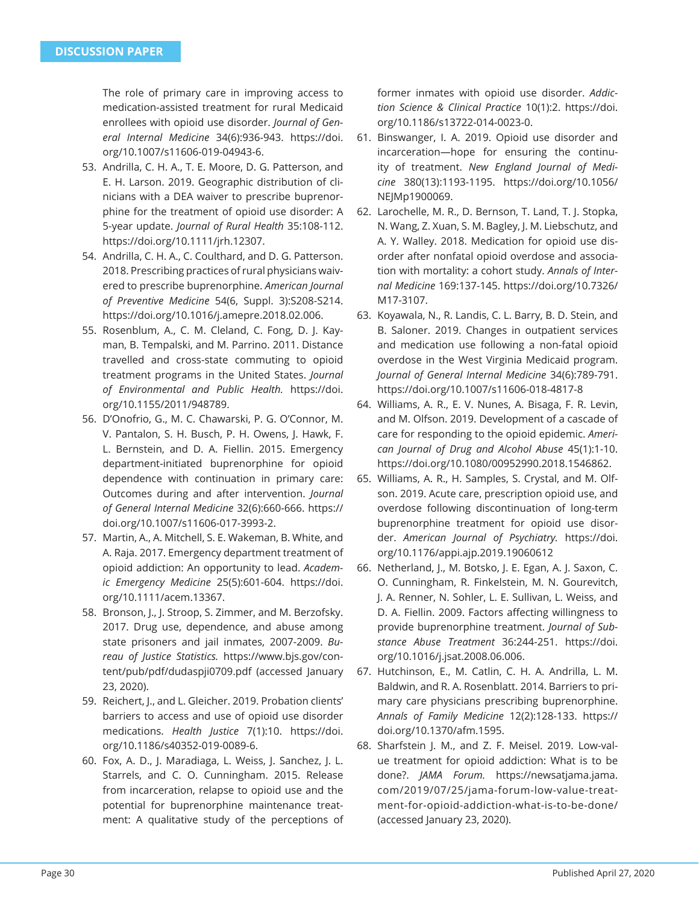The role of primary care in improving access to medication-assisted treatment for rural Medicaid enrollees with opioid use disorder. *Journal of General Internal Medicine* 34(6):936-943. https://doi. org/10.1007/s11606-019-04943-6.

- 53. Andrilla, C. H. A., T. E. Moore, D. G. Patterson, and E. H. Larson. 2019. Geographic distribution of clinicians with a DEA waiver to prescribe buprenorphine for the treatment of opioid use disorder: A 5-year update. *Journal of Rural Health* 35:108-112. https://doi.org/10.1111/jrh.12307.
- 54. Andrilla, C. H. A., C. Coulthard, and D. G. Patterson. 2018. Prescribing practices of rural physicians waivered to prescribe buprenorphine. *American Journal of Preventive Medicine* 54(6, Suppl. 3):S208-S214. https://doi.org/10.1016/j.amepre.2018.02.006.
- 55. Rosenblum, A., C. M. Cleland, C. Fong, D. J. Kayman, B. Tempalski, and M. Parrino. 2011. Distance travelled and cross-state commuting to opioid treatment programs in the United States. *Journal of Environmental and Public Health.* https://doi. org/10.1155/2011/948789.
- 56. D'Onofrio, G., M. C. Chawarski, P. G. O'Connor, M. V. Pantalon, S. H. Busch, P. H. Owens, J. Hawk, F. L. Bernstein, and D. A. Fiellin. 2015. Emergency department-initiated buprenorphine for opioid dependence with continuation in primary care: Outcomes during and after intervention. *Journal of General Internal Medicine* 32(6):660-666. https:// doi.org/10.1007/s11606-017-3993-2.
- 57. Martin, A., A. Mitchell, S. E. Wakeman, B. White, and A. Raja. 2017. Emergency department treatment of opioid addiction: An opportunity to lead. *Academic Emergency Medicine* 25(5):601-604. https://doi. org/10.1111/acem.13367.
- 58. Bronson, J., J. Stroop, S. Zimmer, and M. Berzofsky. 2017. Drug use, dependence, and abuse among state prisoners and jail inmates, 2007-2009. *Bureau of Justice Statistics.* https://www.bjs.gov/content/pub/pdf/dudaspji0709.pdf (accessed January 23, 2020).
- 59. Reichert, J., and L. Gleicher. 2019. Probation clients' barriers to access and use of opioid use disorder medications. *Health Justice* 7(1):10. https://doi. org/10.1186/s40352-019-0089-6.
- 60. Fox, A. D., J. Maradiaga, L. Weiss, J. Sanchez, J. L. Starrels, and C. O. Cunningham. 2015. Release from incarceration, relapse to opioid use and the potential for buprenorphine maintenance treatment: A qualitative study of the perceptions of

former inmates with opioid use disorder. *Addiction Science & Clinical Practice* 10(1):2. https://doi. org/10.1186/s13722-014-0023-0.

- 61. Binswanger, I. A. 2019. Opioid use disorder and incarceration—hope for ensuring the continuity of treatment. *New England Journal of Medicine* 380(13):1193-1195. https://doi.org/10.1056/ NEJMp1900069.
- 62. Larochelle, M. R., D. Bernson, T. Land, T. J. Stopka, N. Wang, Z. Xuan, S. M. Bagley, J. M. Liebschutz, and A. Y. Walley. 2018. Medication for opioid use disorder after nonfatal opioid overdose and association with mortality: a cohort study. *Annals of Internal Medicine* 169:137-145. https://doi.org/10.7326/ M17-3107.
- 63. Koyawala, N., R. Landis, C. L. Barry, B. D. Stein, and B. Saloner. 2019. Changes in outpatient services and medication use following a non-fatal opioid overdose in the West Virginia Medicaid program. *Journal of General Internal Medicine* 34(6):789-791. https://doi.org/10.1007/s11606-018-4817-8
- 64. Williams, A. R., E. V. Nunes, A. Bisaga, F. R. Levin, and M. Olfson. 2019. Development of a cascade of care for responding to the opioid epidemic. *American Journal of Drug and Alcohol Abuse* 45(1):1-10. https://doi.org/10.1080/00952990.2018.1546862.
- 65. Williams, A. R., H. Samples, S. Crystal, and M. Olfson. 2019. Acute care, prescription opioid use, and overdose following discontinuation of long-term buprenorphine treatment for opioid use disorder. *American Journal of Psychiatry.* https://doi. org/10.1176/appi.ajp.2019.19060612
- 66. Netherland, J., M. Botsko, J. E. Egan, A. J. Saxon, C. O. Cunningham, R. Finkelstein, M. N. Gourevitch, J. A. Renner, N. Sohler, L. E. Sullivan, L. Weiss, and D. A. Fiellin. 2009. Factors affecting willingness to provide buprenorphine treatment. *Journal of Substance Abuse Treatment* 36:244-251. https://doi. org/10.1016/j.jsat.2008.06.006.
- 67. Hutchinson, E., M. Catlin, C. H. A. Andrilla, L. M. Baldwin, and R. A. Rosenblatt. 2014. Barriers to primary care physicians prescribing buprenorphine. *Annals of Family Medicine* 12(2):128-133. https:// doi.org/10.1370/afm.1595.
- 68. Sharfstein J. M., and Z. F. Meisel. 2019. Low-value treatment for opioid addiction: What is to be done?. *JAMA Forum.* https://newsatjama.jama. com/2019/07/25/jama-forum-low-value-treatment-for-opioid-addiction-what-is-to-be-done/ (accessed January 23, 2020).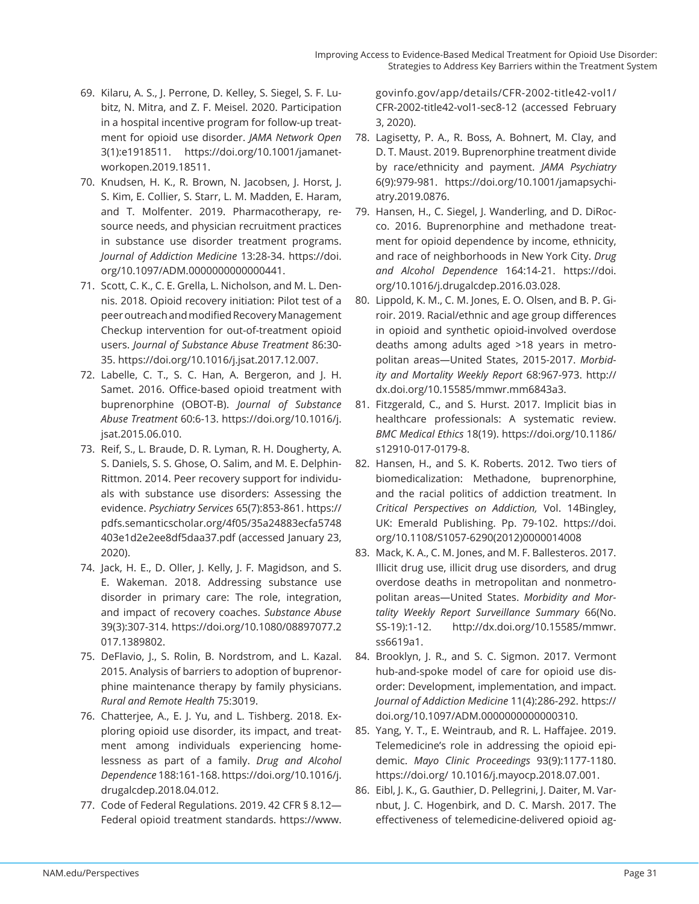- 69. Kilaru, A. S., J. Perrone, D. Kelley, S. Siegel, S. F. Lubitz, N. Mitra, and Z. F. Meisel. 2020. Participation in a hospital incentive program for follow-up treatment for opioid use disorder. *JAMA Network Open* 3(1):e1918511. https://doi.org/10.1001/jamanetworkopen.2019.18511.
- 70. Knudsen, H. K., R. Brown, N. Jacobsen, J. Horst, J. S. Kim, E. Collier, S. Starr, L. M. Madden, E. Haram, and T. Molfenter. 2019. Pharmacotherapy, resource needs, and physician recruitment practices in substance use disorder treatment programs. *Journal of Addiction Medicine* 13:28-34. https://doi. org/10.1097/ADM.0000000000000441.
- 71. Scott, C. K., C. E. Grella, L. Nicholson, and M. L. Dennis. 2018. Opioid recovery initiation: Pilot test of a peer outreach and modified Recovery Management Checkup intervention for out-of-treatment opioid users. *Journal of Substance Abuse Treatment* 86:30- 35. https://doi.org/10.1016/j.jsat.2017.12.007.
- 72. Labelle, C. T., S. C. Han, A. Bergeron, and J. H. Samet. 2016. Office-based opioid treatment with buprenorphine (OBOT-B). *Journal of Substance Abuse Treatment* 60:6-13. https://doi.org/10.1016/j. jsat.2015.06.010.
- 73. Reif, S., L. Braude, D. R. Lyman, R. H. Dougherty, A. S. Daniels, S. S. Ghose, O. Salim, and M. E. Delphin-Rittmon. 2014. Peer recovery support for individuals with substance use disorders: Assessing the evidence. *Psychiatry Services* 65(7):853-861. https:// pdfs.semanticscholar.org/4f05/35a24883ecfa5748 403e1d2e2ee8df5daa37.pdf (accessed January 23, 2020).
- 74. Jack, H. E., D. Oller, J. Kelly, J. F. Magidson, and S. E. Wakeman. 2018. Addressing substance use disorder in primary care: The role, integration, and impact of recovery coaches. *Substance Abuse*  39(3):307-314. https://doi.org/10.1080/08897077.2 017.1389802.
- 75. DeFlavio, J., S. Rolin, B. Nordstrom, and L. Kazal. 2015. Analysis of barriers to adoption of buprenorphine maintenance therapy by family physicians. *Rural and Remote Health* 75:3019.
- 76. Chatterjee, A., E. J. Yu, and L. Tishberg. 2018. Exploring opioid use disorder, its impact, and treatment among individuals experiencing homelessness as part of a family. *Drug and Alcohol Dependence* 188:161-168. https://doi.org/10.1016/j. drugalcdep.2018.04.012.
- 77. Code of Federal Regulations. 2019. 42 CFR § 8.12— Federal opioid treatment standards. https://www.

govinfo.gov/app/details/CFR-2002-title42-vol1/ CFR-2002-title42-vol1-sec8-12 (accessed February 3, 2020).

- 78. Lagisetty, P. A., R. Boss, A. Bohnert, M. Clay, and D. T. Maust. 2019. Buprenorphine treatment divide by race/ethnicity and payment. *JAMA Psychiatry*  6(9):979-981. https://doi.org/10.1001/jamapsychiatry.2019.0876.
- 79. Hansen, H., C. Siegel, J. Wanderling, and D. DiRocco. 2016. Buprenorphine and methadone treatment for opioid dependence by income, ethnicity, and race of neighborhoods in New York City. *Drug and Alcohol Dependence* 164:14-21. https://doi. org/10.1016/j.drugalcdep.2016.03.028.
- 80. Lippold, K. M., C. M. Jones, E. O. Olsen, and B. P. Giroir. 2019. Racial/ethnic and age group differences in opioid and synthetic opioid-involved overdose deaths among adults aged >18 years in metropolitan areas—United States, 2015-2017. *Morbidity and Mortality Weekly Report* 68:967-973. http:// dx.doi.org/10.15585/mmwr.mm6843a3.
- 81. Fitzgerald, C., and S. Hurst. 2017. Implicit bias in healthcare professionals: A systematic review. *BMC Medical Ethics* 18(19). https://doi.org/10.1186/ s12910-017-0179-8.
- 82. Hansen, H., and S. K. Roberts. 2012. Two tiers of biomedicalization: Methadone, buprenorphine, and the racial politics of addiction treatment. In *Critical Perspectives on Addiction,* Vol. 14Bingley, UK: Emerald Publishing. Pp. 79-102. https://doi. org/10.1108/S1057-6290(2012)0000014008
- 83. Mack, K. A., C. M. Jones, and M. F. Ballesteros. 2017. Illicit drug use, illicit drug use disorders, and drug overdose deaths in metropolitan and nonmetropolitan areas—United States. *Morbidity and Mortality Weekly Report Surveillance Summary* 66(No. SS-19):1-12. http://dx.doi.org/10.15585/mmwr. ss6619a1.
- 84. Brooklyn, J. R., and S. C. Sigmon. 2017. Vermont hub-and-spoke model of care for opioid use disorder: Development, implementation, and impact. *Journal of Addiction Medicine* 11(4):286-292. https:// doi.org/10.1097/ADM.0000000000000310.
- 85. Yang, Y. T., E. Weintraub, and R. L. Haffajee. 2019. Telemedicine's role in addressing the opioid epidemic. *Mayo Clinic Proceedings* 93(9):1177-1180. https://doi.org/ 10.1016/j.mayocp.2018.07.001.
- 86. Eibl, J. K., G. Gauthier, D. Pellegrini, J. Daiter, M. Varnbut, J. C. Hogenbirk, and D. C. Marsh. 2017. The effectiveness of telemedicine-delivered opioid ag-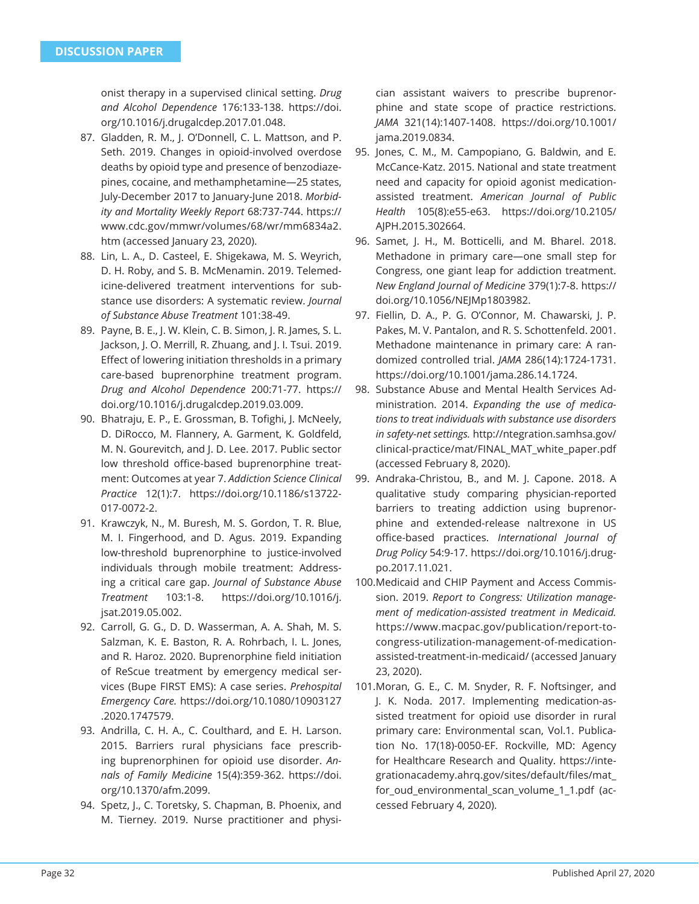onist therapy in a supervised clinical setting. *Drug and Alcohol Dependence* 176:133-138. https://doi. org/10.1016/j.drugalcdep.2017.01.048.

- 87. Gladden, R. M., J. O'Donnell, C. L. Mattson, and P. Seth. 2019. Changes in opioid-involved overdose deaths by opioid type and presence of benzodiazepines, cocaine, and methamphetamine—25 states, July-December 2017 to January-June 2018. *Morbidity and Mortality Weekly Report* 68:737-744. https:// www.cdc.gov/mmwr/volumes/68/wr/mm6834a2. htm (accessed January 23, 2020).
- 88. Lin, L. A., D. Casteel, E. Shigekawa, M. S. Weyrich, D. H. Roby, and S. B. McMenamin. 2019. Telemedicine-delivered treatment interventions for substance use disorders: A systematic review. *Journal of Substance Abuse Treatment* 101:38-49.
- 89. Payne, B. E., J. W. Klein, C. B. Simon, J. R. James, S. L. Jackson, J. O. Merrill, R. Zhuang, and J. I. Tsui. 2019. Effect of lowering initiation thresholds in a primary care-based buprenorphine treatment program. *Drug and Alcohol Dependence* 200:71-77. https:// doi.org/10.1016/j.drugalcdep.2019.03.009.
- 90. Bhatraju, E. P., E. Grossman, B. Tofighi, J. McNeely, D. DiRocco, M. Flannery, A. Garment, K. Goldfeld, M. N. Gourevitch, and J. D. Lee. 2017. Public sector low threshold office-based buprenorphine treatment: Outcomes at year 7. *Addiction Science Clinical Practice* 12(1):7. https://doi.org/10.1186/s13722- 017-0072-2.
- 91. Krawczyk, N., M. Buresh, M. S. Gordon, T. R. Blue, M. I. Fingerhood, and D. Agus. 2019. Expanding low-threshold buprenorphine to justice-involved individuals through mobile treatment: Addressing a critical care gap. *Journal of Substance Abuse Treatment* 103:1-8. https://doi.org/10.1016/j. jsat.2019.05.002.
- 92. Carroll, G. G., D. D. Wasserman, A. A. Shah, M. S. Salzman, K. E. Baston, R. A. Rohrbach, I. L. Jones, and R. Haroz. 2020. Buprenorphine field initiation of ReScue treatment by emergency medical services (Bupe FIRST EMS): A case series. *Prehospital Emergency Care.* https://doi.org/10.1080/10903127 .2020.1747579.
- 93. Andrilla, C. H. A., C. Coulthard, and E. H. Larson. 2015. Barriers rural physicians face prescribing buprenorphinen for opioid use disorder. *Annals of Family Medicine* 15(4):359-362. https://doi. org/10.1370/afm.2099.
- 94. Spetz, J., C. Toretsky, S. Chapman, B. Phoenix, and M. Tierney. 2019. Nurse practitioner and physi-

cian assistant waivers to prescribe buprenorphine and state scope of practice restrictions. *JAMA* 321(14):1407-1408. https://doi.org/10.1001/ jama.2019.0834.

- 95. Jones, C. M., M. Campopiano, G. Baldwin, and E. McCance-Katz. 2015. National and state treatment need and capacity for opioid agonist medicationassisted treatment. *American Journal of Public Health* 105(8):e55-e63. https://doi.org/10.2105/ AJPH.2015.302664.
- 96. Samet, J. H., M. Botticelli, and M. Bharel. 2018. Methadone in primary care—one small step for Congress, one giant leap for addiction treatment. *New England Journal of Medicine* 379(1):7-8. https:// doi.org/10.1056/NEJMp1803982.
- 97. Fiellin, D. A., P. G. O'Connor, M. Chawarski, J. P. Pakes, M. V. Pantalon, and R. S. Schottenfeld. 2001. Methadone maintenance in primary care: A randomized controlled trial. *JAMA* 286(14):1724-1731. https://doi.org/10.1001/jama.286.14.1724.
- 98. Substance Abuse and Mental Health Services Administration. 2014. *Expanding the use of medications to treat individuals with substance use disorders in safety-net settings.* http://ntegration.samhsa.gov/ clinical-practice/mat/FINAL\_MAT\_white\_paper.pdf (accessed February 8, 2020).
- 99. Andraka-Christou, B., and M. J. Capone. 2018. A qualitative study comparing physician-reported barriers to treating addiction using buprenorphine and extended-release naltrexone in US offi ce-based practices. *International Journal of Drug Policy* 54:9-17. https://doi.org/10.1016/j.drugpo.2017.11.021.
- 100. Medicaid and CHIP Payment and Access Commission. 2019. *Report to Congress: Utilization management of medication-assisted treatment in Medicaid.*  https://www.macpac.gov/publication/report-tocongress-utilization-management-of-medicationassisted-treatment-in-medicaid/ (accessed January 23, 2020).
- 101. Moran, G. E., C. M. Snyder, R. F. Noftsinger, and J. K. Noda. 2017. Implementing medication-assisted treatment for opioid use disorder in rural primary care: Environmental scan, Vol.1. Publication No. 17(18)-0050-EF. Rockville, MD: Agency for Healthcare Research and Quality. https://integrationacademy.ahrq.gov/sites/default/files/mat for\_oud\_environmental\_scan\_volume\_1\_1.pdf (accessed February 4, 2020).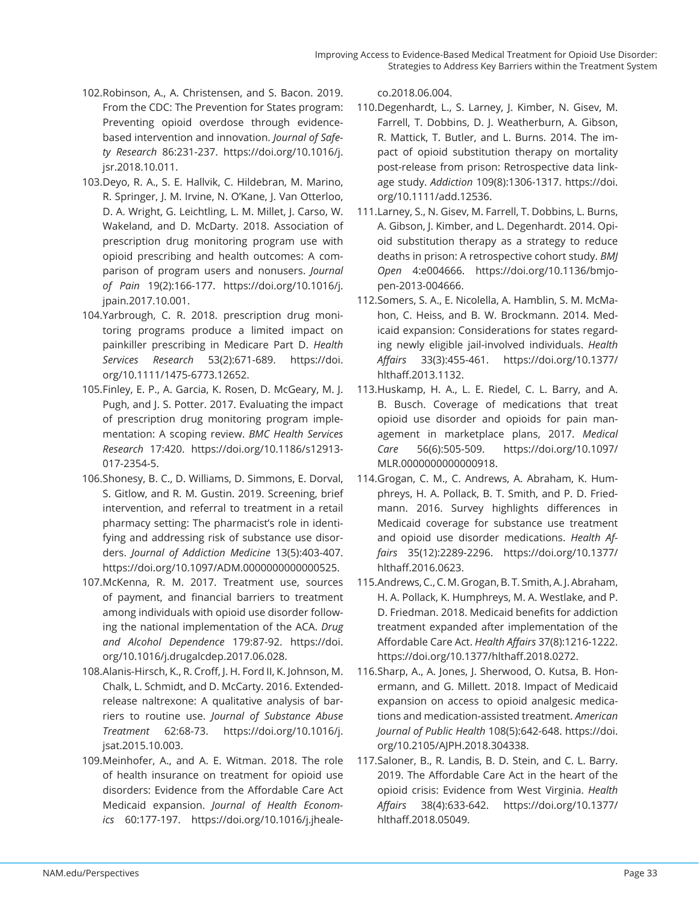- 102. Robinson, A., A. Christensen, and S. Bacon. 2019. From the CDC: The Prevention for States program: Preventing opioid overdose through evidencebased intervention and innovation. *Journal of Safety Research* 86:231-237. https://doi.org/10.1016/j. jsr.2018.10.011.
- 103. Deyo, R. A., S. E. Hallvik, C. Hildebran, M. Marino, R. Springer, J. M. Irvine, N. O'Kane, J. Van Otterloo, D. A. Wright, G. Leichtling, L. M. Millet, J. Carso, W. Wakeland, and D. McDarty. 2018. Association of prescription drug monitoring program use with opioid prescribing and health outcomes: A comparison of program users and nonusers. *Journal of Pain* 19(2):166-177. https://doi.org/10.1016/j. jpain.2017.10.001.
- 104. Yarbrough, C. R. 2018. prescription drug monitoring programs produce a limited impact on painkiller prescribing in Medicare Part D. *Health Services Research* 53(2):671-689. https://doi. org/10.1111/1475-6773.12652.
- 105. Finley, E. P., A. Garcia, K. Rosen, D. McGeary, M. J. Pugh, and J. S. Potter. 2017. Evaluating the impact of prescription drug monitoring program implementation: A scoping review. *BMC Health Services Research* 17:420. https://doi.org/10.1186/s12913- 017-2354-5.
- 106. Shonesy, B. C., D. Williams, D. Simmons, E. Dorval, S. Gitlow, and R. M. Gustin. 2019. Screening, brief intervention, and referral to treatment in a retail pharmacy setting: The pharmacist's role in identifying and addressing risk of substance use disorders. *Journal of Addiction Medicine* 13(5):403-407. https://doi.org/10.1097/ADM.0000000000000525.
- 107. McKenna, R. M. 2017. Treatment use, sources of payment, and financial barriers to treatment among individuals with opioid use disorder following the national implementation of the ACA. *Drug and Alcohol Dependence* 179:87-92. https://doi. org/10.1016/j.drugalcdep.2017.06.028.
- 108. Alanis-Hirsch, K., R. Croff , J. H. Ford II, K. Johnson, M. Chalk, L. Schmidt, and D. McCarty. 2016. Extendedrelease naltrexone: A qualitative analysis of barriers to routine use. *Journal of Substance Abuse Treatment* 62:68-73. https://doi.org/10.1016/j. jsat.2015.10.003.
- 109. Meinhofer, A., and A. E. Witman. 2018. The role of health insurance on treatment for opioid use disorders: Evidence from the Affordable Care Act Medicaid expansion. *Journal of Health Economics* 60:177-197. https://doi.org/10.1016/j.jheale-

co.2018.06.004.

- 110. Degenhardt, L., S. Larney, J. Kimber, N. Gisev, M. Farrell, T. Dobbins, D. J. Weatherburn, A. Gibson, R. Mattick, T. Butler, and L. Burns. 2014. The impact of opioid substitution therapy on mortality post-release from prison: Retrospective data linkage study. *Addiction* 109(8):1306-1317. https://doi. org/10.1111/add.12536.
- 111. Larney, S., N. Gisev, M. Farrell, T. Dobbins, L. Burns, A. Gibson, J. Kimber, and L. Degenhardt. 2014. Opioid substitution therapy as a strategy to reduce deaths in prison: A retrospective cohort study. *BMJ Open* 4:e004666. https://doi.org/10.1136/bmjopen-2013-004666.
- 112. Somers, S. A., E. Nicolella, A. Hamblin, S. M. McMahon, C. Heiss, and B. W. Brockmann. 2014. Medicaid expansion: Considerations for states regarding newly eligible jail-involved individuals. *Health Aff airs* 33(3):455-461. https://doi.org/10.1377/ hlthaff .2013.1132.
- 113. Huskamp, H. A., L. E. Riedel, C. L. Barry, and A. B. Busch. Coverage of medications that treat opioid use disorder and opioids for pain management in marketplace plans, 2017. *Medical Care* 56(6):505-509. https://doi.org/10.1097/ MLR.0000000000000918.
- 114. Grogan, C. M., C. Andrews, A. Abraham, K. Humphreys, H. A. Pollack, B. T. Smith, and P. D. Friedmann. 2016. Survey highlights differences in Medicaid coverage for substance use treatment and opioid use disorder medications. *Health Affairs* 35(12):2289-2296. https://doi.org/10.1377/ hlthaff .2016.0623.
- 115. Andrews, C., C. M. Grogan, B. T. Smith, A. J. Abraham, H. A. Pollack, K. Humphreys, M. A. Westlake, and P. D. Friedman. 2018. Medicaid benefits for addiction treatment expanded after implementation of the Affordable Care Act. *Health Affairs* 37(8):1216-1222. https://doi.org/10.1377/hlthaff.2018.0272.
- 116. Sharp, A., A. Jones, J. Sherwood, O. Kutsa, B. Honermann, and G. Millett. 2018. Impact of Medicaid expansion on access to opioid analgesic medications and medication-assisted treatment. *American Journal of Public Health* 108(5):642-648. https://doi. org/10.2105/AJPH.2018.304338.
- 117. Saloner, B., R. Landis, B. D. Stein, and C. L. Barry. 2019. The Affordable Care Act in the heart of the opioid crisis: Evidence from West Virginia. *Health Aff airs* 38(4):633-642. https://doi.org/10.1377/ hlthaff .2018.05049.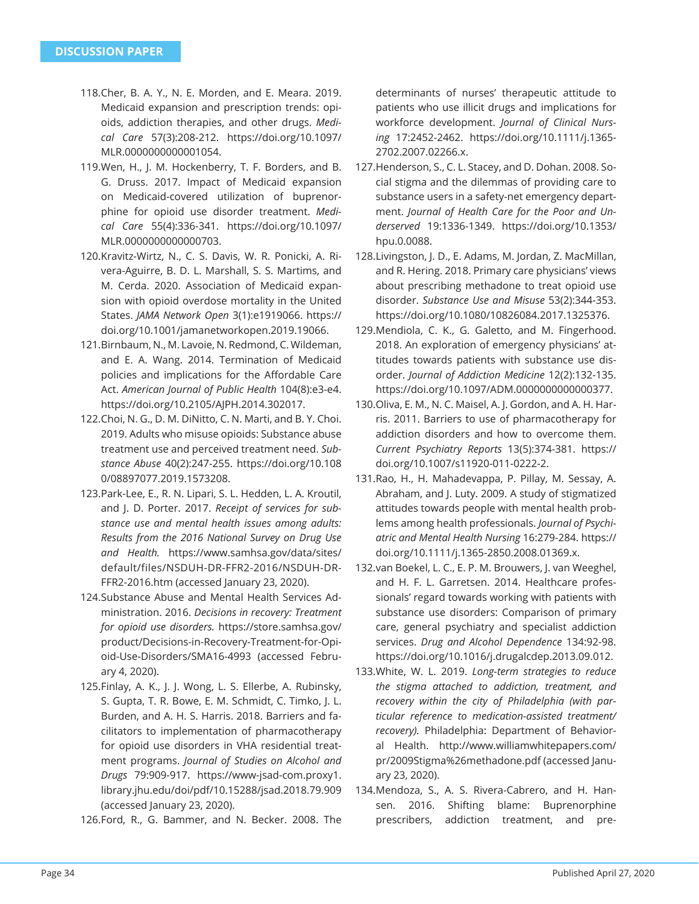- 118. Cher, B. A. Y., N. E. Morden, and E. Meara. 2019. Medicaid expansion and prescription trends: opioids, addiction therapies, and other drugs. *Medical Care* 57(3):208-212. https://doi.org/10.1097/ MLR.0000000000001054.
- 119. Wen, H., J. M. Hockenberry, T. F. Borders, and B. G. Druss. 2017. Impact of Medicaid expansion on Medicaid-covered utilization of buprenorphine for opioid use disorder treatment. *Medical Care* 55(4):336-341. https://doi.org/10.1097/ MLR.0000000000000703.
- 120. Kravitz-Wirtz, N., C. S. Davis, W. R. Ponicki, A. Rivera-Aguirre, B. D. L. Marshall, S. S. Martims, and M. Cerda. 2020. Association of Medicaid expansion with opioid overdose mortality in the United States. *JAMA Network Open* 3(1):e1919066. https:// doi.org/10.1001/jamanetworkopen.2019.19066.
- 121. Birnbaum, N., M. Lavoie, N. Redmond, C. Wildeman, and E. A. Wang. 2014. Termination of Medicaid policies and implications for the Affordable Care Act. *American Journal of Public Health* 104(8):e3-e4. https://doi.org/10.2105/AJPH.2014.302017.
- 122. Choi, N. G., D. M. DiNitto, C. N. Marti, and B. Y. Choi. 2019. Adults who misuse opioids: Substance abuse treatment use and perceived treatment need. *Substance Abuse* 40(2):247-255. https://doi.org/10.108 0/08897077.2019.1573208.
- 123. Park-Lee, E., R. N. Lipari, S. L. Hedden, L. A. Kroutil, and J. D. Porter. 2017. *Receipt of services for substance use and mental health issues among adults: Results from the 2016 National Survey on Drug Use and Health.* https://www.samhsa.gov/data/sites/ default/files/NSDUH-DR-FFR2-2016/NSDUH-DR-FFR2-2016.htm (accessed January 23, 2020).
- 124. Substance Abuse and Mental Health Services Administration. 2016. *Decisions in recovery: Treatment for opioid use disorders.* https://store.samhsa.gov/ product/Decisions-in-Recovery-Treatment-for-Opioid-Use-Disorders/SMA16-4993 (accessed February 4, 2020).
- 125. Finlay, A. K., J. J. Wong, L. S. Ellerbe, A. Rubinsky, S. Gupta, T. R. Bowe, E. M. Schmidt, C. Timko, J. L. Burden, and A. H. S. Harris. 2018. Barriers and facilitators to implementation of pharmacotherapy for opioid use disorders in VHA residential treatment programs. *Journal of Studies on Alcohol and Drugs* 79:909-917. https://www-jsad-com.proxy1. library.jhu.edu/doi/pdf/10.15288/jsad.2018.79.909 (accessed January 23, 2020).

126. Ford, R., G. Bammer, and N. Becker. 2008. The

determinants of nurses' therapeutic attitude to patients who use illicit drugs and implications for workforce development. *Journal of Clinical Nursing* 17:2452-2462. https://doi.org/10.1111/j.1365- 2702.2007.02266.x.

- 127. Henderson, S., C. L. Stacey, and D. Dohan. 2008. Social stigma and the dilemmas of providing care to substance users in a safety-net emergency department. *Journal of Health Care for the Poor and Underserved* 19:1336-1349. https://doi.org/10.1353/ hpu.0.0088.
- 128. Livingston, J. D., E. Adams, M. Jordan, Z. MacMillan, and R. Hering. 2018. Primary care physicians' views about prescribing methadone to treat opioid use disorder. *Substance Use and Misuse* 53(2):344-353. https://doi.org/10.1080/10826084.2017.1325376.
- 129. Mendiola, C. K., G. Galetto, and M. Fingerhood. 2018. An exploration of emergency physicians' attitudes towards patients with substance use disorder. *Journal of Addiction Medicine* 12(2):132-135. https://doi.org/10.1097/ADM.0000000000000377.
- 130. Oliva, E. M., N. C. Maisel, A. J. Gordon, and A. H. Harris. 2011. Barriers to use of pharmacotherapy for addiction disorders and how to overcome them. *Current Psychiatry Reports* 13(5):374-381. https:// doi.org/10.1007/s11920-011-0222-2.
- 131. Rao, H., H. Mahadevappa, P. Pillay, M. Sessay, A. Abraham, and J. Luty. 2009. A study of stigmatized attitudes towards people with mental health problems among health professionals. *Journal of Psychiatric and Mental Health Nursing* 16:279-284. https:// doi.org/10.1111/j.1365-2850.2008.01369.x.
- 132. van Boekel, L. C., E. P. M. Brouwers, J. van Weeghel, and H. F. L. Garretsen. 2014. Healthcare professionals' regard towards working with patients with substance use disorders: Comparison of primary care, general psychiatry and specialist addiction services. *Drug and Alcohol Dependence* 134:92-98. https://doi.org/10.1016/j.drugalcdep.2013.09.012.
- 133. White, W. L. 2019. *Long-term strategies to reduce the stigma attached to addiction, treatment, and recovery within the city of Philadelphia (with particular reference to medication-assisted treatment/ recovery).* Philadelphia: Department of Behavioral Health. http://www.williamwhitepapers.com/ pr/2009Stigma%26methadone.pdf (accessed January 23, 2020).
- 134. Mendoza, S., A. S. Rivera-Cabrero, and H. Hansen. 2016. Shifting blame: Buprenorphine prescribers, addiction treatment, and pre-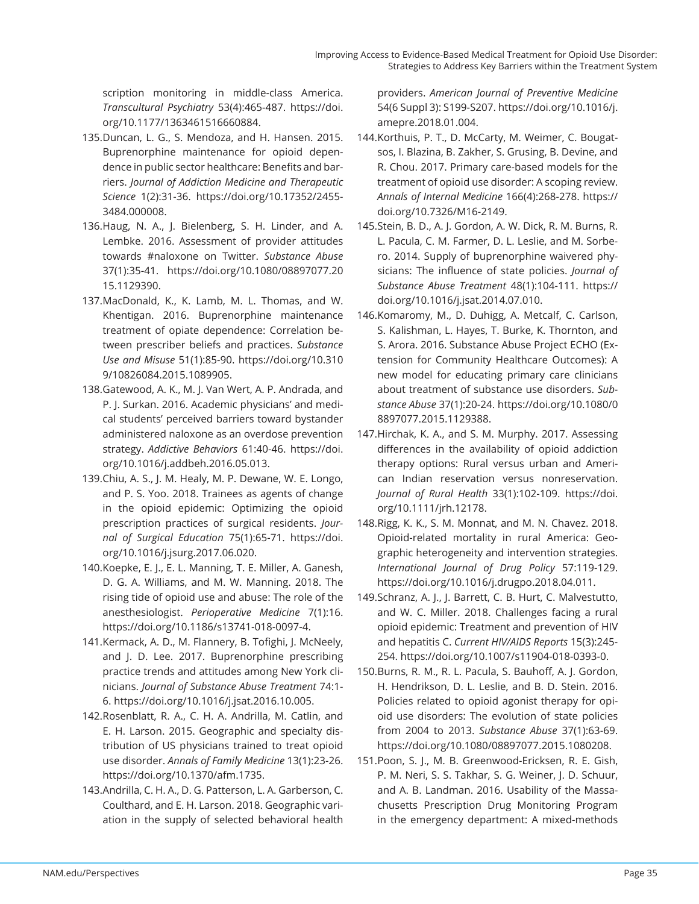scription monitoring in middle-class America. *Transcultural Psychiatry* 53(4):465-487. https://doi. org/10.1177/1363461516660884.

- 135. Duncan, L. G., S. Mendoza, and H. Hansen. 2015. Buprenorphine maintenance for opioid dependence in public sector healthcare: Benefits and barriers. *Journal of Addiction Medicine and Therapeutic Science* 1(2):31-36. https://doi.org/10.17352/2455- 3484.000008.
- 136. Haug, N. A., J. Bielenberg, S. H. Linder, and A. Lembke. 2016. Assessment of provider attitudes towards #naloxone on Twitter. *Substance Abuse*  37(1):35-41. https://doi.org/10.1080/08897077.20 15.1129390.
- 137. MacDonald, K., K. Lamb, M. L. Thomas, and W. Khentigan. 2016. Buprenorphine maintenance treatment of opiate dependence: Correlation between prescriber beliefs and practices. *Substance Use and Misuse* 51(1):85-90. https://doi.org/10.310 9/10826084.2015.1089905.
- 138. Gatewood, A. K., M. J. Van Wert, A. P. Andrada, and P. J. Surkan. 2016. Academic physicians' and medical students' perceived barriers toward bystander administered naloxone as an overdose prevention strategy. *Addictive Behaviors* 61:40-46. https://doi. org/10.1016/j.addbeh.2016.05.013.
- 139. Chiu, A. S., J. M. Healy, M. P. Dewane, W. E. Longo, and P. S. Yoo. 2018. Trainees as agents of change in the opioid epidemic: Optimizing the opioid prescription practices of surgical residents. *Journal of Surgical Education* 75(1):65-71. https://doi. org/10.1016/j.jsurg.2017.06.020.
- 140. Koepke, E. J., E. L. Manning, T. E. Miller, A. Ganesh, D. G. A. Williams, and M. W. Manning. 2018. The rising tide of opioid use and abuse: The role of the anesthesiologist. *Perioperative Medicine* 7(1):16. https://doi.org/10.1186/s13741-018-0097-4.
- 141. Kermack, A. D., M. Flannery, B. Tofighi, J. McNeely, and J. D. Lee. 2017. Buprenorphine prescribing practice trends and attitudes among New York clinicians. *Journal of Substance Abuse Treatment* 74:1- 6. https://doi.org/10.1016/j.jsat.2016.10.005.
- 142. Rosenblatt, R. A., C. H. A. Andrilla, M. Catlin, and E. H. Larson. 2015. Geographic and specialty distribution of US physicians trained to treat opioid use disorder. *Annals of Family Medicine* 13(1):23-26. https://doi.org/10.1370/afm.1735.
- 143. Andrilla, C. H. A., D. G. Patterson, L. A. Garberson, C. Coulthard, and E. H. Larson. 2018. Geographic variation in the supply of selected behavioral health

providers. *American Journal of Preventive Medicine* 54(6 Suppl 3): S199-S207. https://doi.org/10.1016/j. amepre.2018.01.004.

- 144. Korthuis, P. T., D. McCarty, M. Weimer, C. Bougatsos, I. Blazina, B. Zakher, S. Grusing, B. Devine, and R. Chou. 2017. Primary care-based models for the treatment of opioid use disorder: A scoping review. *Annals of Internal Medicine* 166(4):268-278. https:// doi.org/10.7326/M16-2149.
- 145. Stein, B. D., A. J. Gordon, A. W. Dick, R. M. Burns, R. L. Pacula, C. M. Farmer, D. L. Leslie, and M. Sorbero. 2014. Supply of buprenorphine waivered physicians: The influence of state policies. *Journal of Substance Abuse Treatment* 48(1):104-111. https:// doi.org/10.1016/j.jsat.2014.07.010.
- 146. Komaromy, M., D. Duhigg, A. Metcalf, C. Carlson, S. Kalishman, L. Hayes, T. Burke, K. Thornton, and S. Arora. 2016. Substance Abuse Project ECHO (Extension for Community Healthcare Outcomes): A new model for educating primary care clinicians about treatment of substance use disorders. *Substance Abuse* 37(1):20-24. https://doi.org/10.1080/0 8897077.2015.1129388.
- 147. Hirchak, K. A., and S. M. Murphy. 2017. Assessing differences in the availability of opioid addiction therapy options: Rural versus urban and American Indian reservation versus nonreservation. *Journal of Rural Health* 33(1):102-109. https://doi. org/10.1111/jrh.12178.
- 148. Rigg, K. K., S. M. Monnat, and M. N. Chavez. 2018. Opioid-related mortality in rural America: Geographic heterogeneity and intervention strategies. *International Journal of Drug Policy* 57:119-129. https://doi.org/10.1016/j.drugpo.2018.04.011.
- 149. Schranz, A. J., J. Barrett, C. B. Hurt, C. Malvestutto, and W. C. Miller. 2018. Challenges facing a rural opioid epidemic: Treatment and prevention of HIV and hepatitis C. *Current HIV/AIDS Reports* 15(3):245- 254. https://doi.org/10.1007/s11904-018-0393-0.
- 150. Burns, R. M., R. L. Pacula, S. Bauhoff, A. J. Gordon, H. Hendrikson, D. L. Leslie, and B. D. Stein. 2016. Policies related to opioid agonist therapy for opioid use disorders: The evolution of state policies from 2004 to 2013. *Substance Abuse* 37(1):63-69. https://doi.org/10.1080/08897077.2015.1080208.
- 151. Poon, S. J., M. B. Greenwood-Ericksen, R. E. Gish, P. M. Neri, S. S. Takhar, S. G. Weiner, J. D. Schuur, and A. B. Landman. 2016. Usability of the Massachusetts Prescription Drug Monitoring Program in the emergency department: A mixed-methods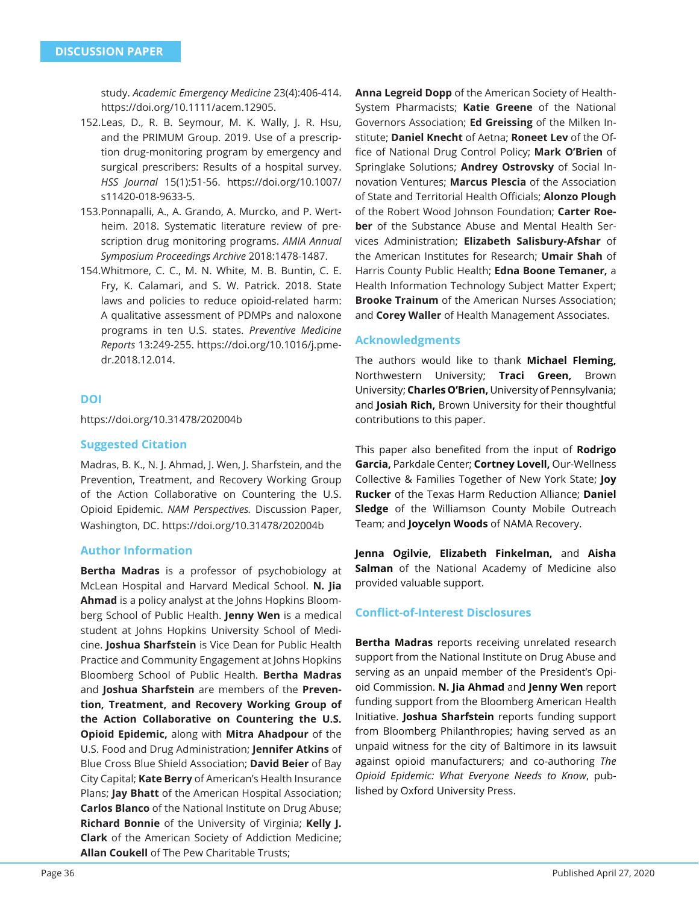study. *Academic Emergency Medicine* 23(4):406-414. https://doi.org/10.1111/acem.12905.

- 152. Leas, D., R. B. Seymour, M. K. Wally, J. R. Hsu, and the PRIMUM Group. 2019. Use of a prescription drug-monitoring program by emergency and surgical prescribers: Results of a hospital survey. *HSS Journal* 15(1):51-56. https://doi.org/10.1007/ s11420-018-9633-5.
- 153. Ponnapalli, A., A. Grando, A. Murcko, and P. Wertheim. 2018. Systematic literature review of prescription drug monitoring programs. *AMIA Annual Symposium Proceedings Archive* 2018:1478-1487.
- 154. Whitmore, C. C., M. N. White, M. B. Buntin, C. E. Fry, K. Calamari, and S. W. Patrick. 2018. State laws and policies to reduce opioid-related harm: A qualitative assessment of PDMPs and naloxone programs in ten U.S. states. *Preventive Medicine Reports* 13:249-255. https://doi.org/10.1016/j.pmedr.2018.12.014.

## **DOI**

https://doi.org/10.31478/202004b

## **Suggested Citation**

Madras, B. K., N. J. Ahmad, J. Wen, J. Sharfstein, and the Prevention, Treatment, and Recovery Working Group of the Action Collaborative on Countering the U.S. Opioid Epidemic. *NAM Perspectives.* Discussion Paper, Washington, DC. https://doi.org/10.31478/202004b

## **Author Information**

**Bertha Madras** is a professor of psychobiology at McLean Hospital and Harvard Medical School. **N. Jia Ahmad** is a policy analyst at the Johns Hopkins Bloomberg School of Public Health. **Jenny Wen** is a medical student at Johns Hopkins University School of Medicine. **Joshua Sharfstein** is Vice Dean for Public Health Practice and Community Engagement at Johns Hopkins Bloomberg School of Public Health. **Bertha Madras**  and **Joshua Sharfstein** are members of the **Prevention, Treatment, and Recovery Working Group of the Action Collaborative on Countering the U.S. Opioid Epidemic,** along with **Mitra Ahadpour** of the U.S. Food and Drug Administration; **Jennifer Atkins** of Blue Cross Blue Shield Association; **David Beier** of Bay City Capital; **Kate Berry** of American's Health Insurance Plans; **Jay Bhatt** of the American Hospital Association; **Carlos Blanco** of the National Institute on Drug Abuse; **Richard Bonnie** of the University of Virginia; **Kelly J. Clark** of the American Society of Addiction Medicine; **Allan Coukell** of The Pew Charitable Trusts;

**Anna Legreid Dopp** of the American Society of Health-System Pharmacists; **Katie Greene** of the National Governors Association; **Ed Greissing** of the Milken Institute; **Daniel Knecht** of Aetna; **Roneet Lev** of the Office of National Drug Control Policy; Mark O'Brien of Springlake Solutions; **Andrey Ostrovsky** of Social Innovation Ventures; **Marcus Plescia** of the Association of State and Territorial Health Officials; **Alonzo Plough** of the Robert Wood Johnson Foundation; **Carter Roeber** of the Substance Abuse and Mental Health Services Administration; **Elizabeth Salisbury-Afshar** of the American Institutes for Research; **Umair Shah** of Harris County Public Health; **Edna Boone Temaner,** a Health Information Technology Subject Matter Expert; **Brooke Trainum** of the American Nurses Association; and **Corey Waller** of Health Management Associates.

## **Acknowledgments**

The authors would like to thank **Michael Fleming,**  Northwestern University; **Traci Green,** Brown University; **Charles O'Brien,** University of Pennsylvania; and **Josiah Rich,** Brown University for their thoughtful contributions to this paper.

This paper also benefited from the input of **Rodrigo Garcia,** Parkdale Center; **Cortney Lovell,** Our-Wellness Collective & Families Together of New York State; **Joy Rucker** of the Texas Harm Reduction Alliance; **Daniel Sledge** of the Williamson County Mobile Outreach Team; and **Joycelyn Woods** of NAMA Recovery.

**Jenna Ogilvie, Elizabeth Finkelman,** and **Aisha Salman** of the National Academy of Medicine also provided valuable support.

## **Confl ict-of-Interest Disclosures**

**Bertha Madras** reports receiving unrelated research support from the National Institute on Drug Abuse and serving as an unpaid member of the President's Opioid Commission. **N. Jia Ahmad** and **Jenny Wen** report funding support from the Bloomberg American Health Initiative. **Joshua Sharfstein** reports funding support from Bloomberg Philanthropies; having served as an unpaid witness for the city of Baltimore in its lawsuit against opioid manufacturers; and co-authoring *The Opioid Epidemic: What Everyone Needs to Know*, published by Oxford University Press.